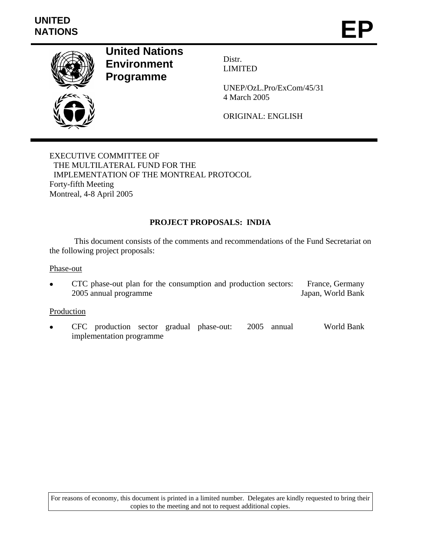

**United Nations Environment Programme** 

Distr. LIMITED

UNEP/OzL.Pro/ExCom/45/31 4 March 2005

ORIGINAL: ENGLISH

EXECUTIVE COMMITTEE OF THE MULTILATERAL FUND FOR THE IMPLEMENTATION OF THE MONTREAL PROTOCOL Forty-fifth Meeting Montreal, 4-8 April 2005

## **PROJECT PROPOSALS: INDIA**

This document consists of the comments and recommendations of the Fund Secretariat on the following project proposals:

Phase-out

• CTC phase-out plan for the consumption and production sectors: 2005 annual programme France, Germany Japan, World Bank

#### Production

• CFC production sector gradual phase-out: 2005 annual implementation programme World Bank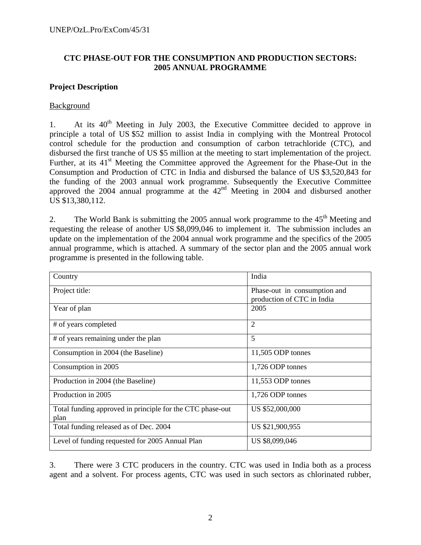## **CTC PHASE-OUT FOR THE CONSUMPTION AND PRODUCTION SECTORS: 2005 ANNUAL PROGRAMME**

#### **Project Description**

#### **Background**

1. At its  $40<sup>th</sup>$  Meeting in July 2003, the Executive Committee decided to approve in principle a total of US \$52 million to assist India in complying with the Montreal Protocol control schedule for the production and consumption of carbon tetrachloride (CTC), and disbursed the first tranche of US \$5 million at the meeting to start implementation of the project. Further, at its  $41<sup>st</sup>$  Meeting the Committee approved the Agreement for the Phase-Out in the Consumption and Production of CTC in India and disbursed the balance of US \$3,520,843 for the funding of the 2003 annual work programme. Subsequently the Executive Committee approved the  $2004$  annual programme at the  $42<sup>nd</sup>$  Meeting in 2004 and disbursed another US \$13,380,112.

2. The World Bank is submitting the 2005 annual work programme to the  $45<sup>th</sup>$  Meeting and requesting the release of another US \$8,099,046 to implement it. The submission includes an update on the implementation of the 2004 annual work programme and the specifics of the 2005 annual programme, which is attached. A summary of the sector plan and the 2005 annual work programme is presented in the following table.

| Country                                                           | India                                                      |
|-------------------------------------------------------------------|------------------------------------------------------------|
| Project title:                                                    | Phase-out in consumption and<br>production of CTC in India |
| Year of plan                                                      | 2005                                                       |
| # of years completed                                              | $\overline{2}$                                             |
| # of years remaining under the plan                               | 5                                                          |
| Consumption in 2004 (the Baseline)                                | 11,505 ODP tonnes                                          |
| Consumption in 2005                                               | 1,726 ODP tonnes                                           |
| Production in 2004 (the Baseline)                                 | 11,553 ODP tonnes                                          |
| Production in 2005                                                | 1,726 ODP tonnes                                           |
| Total funding approved in principle for the CTC phase-out<br>plan | US \$52,000,000                                            |
| Total funding released as of Dec. 2004                            | US \$21,900,955                                            |
| Level of funding requested for 2005 Annual Plan                   | US \$8,099,046                                             |

<sup>3.</sup> There were 3 CTC producers in the country. CTC was used in India both as a process agent and a solvent. For process agents, CTC was used in such sectors as chlorinated rubber,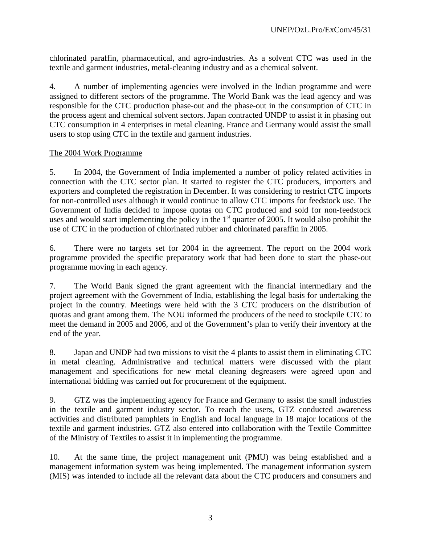chlorinated paraffin, pharmaceutical, and agro-industries. As a solvent CTC was used in the textile and garment industries, metal-cleaning industry and as a chemical solvent.

4. A number of implementing agencies were involved in the Indian programme and were assigned to different sectors of the programme. The World Bank was the lead agency and was responsible for the CTC production phase-out and the phase-out in the consumption of CTC in the process agent and chemical solvent sectors. Japan contracted UNDP to assist it in phasing out CTC consumption in 4 enterprises in metal cleaning. France and Germany would assist the small users to stop using CTC in the textile and garment industries.

#### The 2004 Work Programme

5. In 2004, the Government of India implemented a number of policy related activities in connection with the CTC sector plan. It started to register the CTC producers, importers and exporters and completed the registration in December. It was considering to restrict CTC imports for non-controlled uses although it would continue to allow CTC imports for feedstock use. The Government of India decided to impose quotas on CTC produced and sold for non-feedstock uses and would start implementing the policy in the  $1<sup>st</sup>$  quarter of 2005. It would also prohibit the use of CTC in the production of chlorinated rubber and chlorinated paraffin in 2005.

6. There were no targets set for 2004 in the agreement. The report on the 2004 work programme provided the specific preparatory work that had been done to start the phase-out programme moving in each agency.

7. The World Bank signed the grant agreement with the financial intermediary and the project agreement with the Government of India, establishing the legal basis for undertaking the project in the country. Meetings were held with the 3 CTC producers on the distribution of quotas and grant among them. The NOU informed the producers of the need to stockpile CTC to meet the demand in 2005 and 2006, and of the Government's plan to verify their inventory at the end of the year.

8. Japan and UNDP had two missions to visit the 4 plants to assist them in eliminating CTC in metal cleaning. Administrative and technical matters were discussed with the plant management and specifications for new metal cleaning degreasers were agreed upon and international bidding was carried out for procurement of the equipment.

9. GTZ was the implementing agency for France and Germany to assist the small industries in the textile and garment industry sector. To reach the users, GTZ conducted awareness activities and distributed pamphlets in English and local language in 18 major locations of the textile and garment industries. GTZ also entered into collaboration with the Textile Committee of the Ministry of Textiles to assist it in implementing the programme.

10. At the same time, the project management unit (PMU) was being established and a management information system was being implemented. The management information system (MIS) was intended to include all the relevant data about the CTC producers and consumers and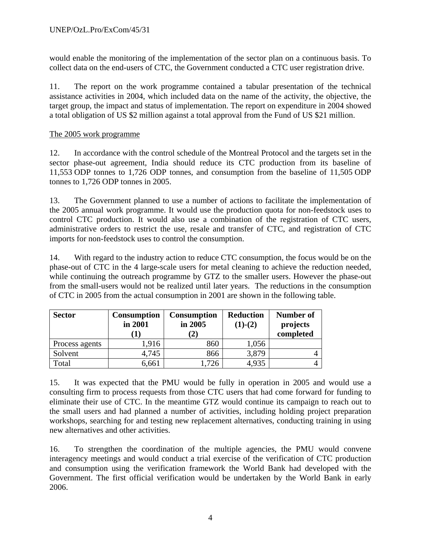would enable the monitoring of the implementation of the sector plan on a continuous basis. To collect data on the end-users of CTC, the Government conducted a CTC user registration drive.

11. The report on the work programme contained a tabular presentation of the technical assistance activities in 2004, which included data on the name of the activity, the objective, the target group, the impact and status of implementation. The report on expenditure in 2004 showed a total obligation of US \$2 million against a total approval from the Fund of US \$21 million.

## The 2005 work programme

12. In accordance with the control schedule of the Montreal Protocol and the targets set in the sector phase-out agreement, India should reduce its CTC production from its baseline of 11,553 ODP tonnes to 1,726 ODP tonnes, and consumption from the baseline of 11,505 ODP tonnes to 1,726 ODP tonnes in 2005.

13. The Government planned to use a number of actions to facilitate the implementation of the 2005 annual work programme. It would use the production quota for non-feedstock uses to control CTC production. It would also use a combination of the registration of CTC users, administrative orders to restrict the use, resale and transfer of CTC, and registration of CTC imports for non-feedstock uses to control the consumption.

14. With regard to the industry action to reduce CTC consumption, the focus would be on the phase-out of CTC in the 4 large-scale users for metal cleaning to achieve the reduction needed, while continuing the outreach programme by GTZ to the smaller users. However the phase-out from the small-users would not be realized until later years. The reductions in the consumption of CTC in 2005 from the actual consumption in 2001 are shown in the following table.

| <b>Sector</b><br><b>Consumption</b><br>in 2001 |       | <b>Consumption</b><br>in 2005 | <b>Reduction</b><br>$(1)-(2)$ | Number of<br>projects<br>completed |
|------------------------------------------------|-------|-------------------------------|-------------------------------|------------------------------------|
| Process agents                                 | 1,916 | 860                           | 1,056                         |                                    |
| Solvent                                        | 4,745 | 866                           | 3,879                         |                                    |
| Total                                          | 6,661 |                               | 4,935                         |                                    |

15. It was expected that the PMU would be fully in operation in 2005 and would use a consulting firm to process requests from those CTC users that had come forward for funding to eliminate their use of CTC. In the meantime GTZ would continue its campaign to reach out to the small users and had planned a number of activities, including holding project preparation workshops, searching for and testing new replacement alternatives, conducting training in using new alternatives and other activities.

16. To strengthen the coordination of the multiple agencies, the PMU would convene interagency meetings and would conduct a trial exercise of the verification of CTC production and consumption using the verification framework the World Bank had developed with the Government. The first official verification would be undertaken by the World Bank in early 2006.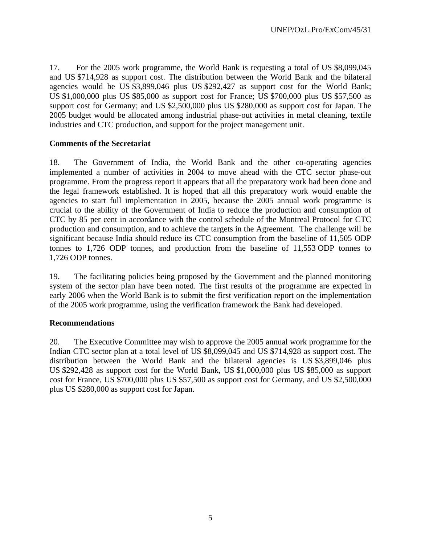17. For the 2005 work programme, the World Bank is requesting a total of US \$8,099,045 and US \$714,928 as support cost. The distribution between the World Bank and the bilateral agencies would be US \$3,899,046 plus US \$292,427 as support cost for the World Bank; US \$1,000,000 plus US \$85,000 as support cost for France; US \$700,000 plus US \$57,500 as support cost for Germany; and US \$2,500,000 plus US \$280,000 as support cost for Japan. The 2005 budget would be allocated among industrial phase-out activities in metal cleaning, textile industries and CTC production, and support for the project management unit.

## **Comments of the Secretariat**

18. The Government of India, the World Bank and the other co-operating agencies implemented a number of activities in 2004 to move ahead with the CTC sector phase-out programme. From the progress report it appears that all the preparatory work had been done and the legal framework established. It is hoped that all this preparatory work would enable the agencies to start full implementation in 2005, because the 2005 annual work programme is crucial to the ability of the Government of India to reduce the production and consumption of CTC by 85 per cent in accordance with the control schedule of the Montreal Protocol for CTC production and consumption, and to achieve the targets in the Agreement. The challenge will be significant because India should reduce its CTC consumption from the baseline of 11,505 ODP tonnes to 1,726 ODP tonnes, and production from the baseline of 11,553 ODP tonnes to 1,726 ODP tonnes.

19. The facilitating policies being proposed by the Government and the planned monitoring system of the sector plan have been noted. The first results of the programme are expected in early 2006 when the World Bank is to submit the first verification report on the implementation of the 2005 work programme, using the verification framework the Bank had developed.

#### **Recommendations**

20. The Executive Committee may wish to approve the 2005 annual work programme for the Indian CTC sector plan at a total level of US \$8,099,045 and US \$714,928 as support cost. The distribution between the World Bank and the bilateral agencies is US \$3,899,046 plus US \$292,428 as support cost for the World Bank, US \$1,000,000 plus US \$85,000 as support cost for France, US \$700,000 plus US \$57,500 as support cost for Germany, and US \$2,500,000 plus US \$280,000 as support cost for Japan.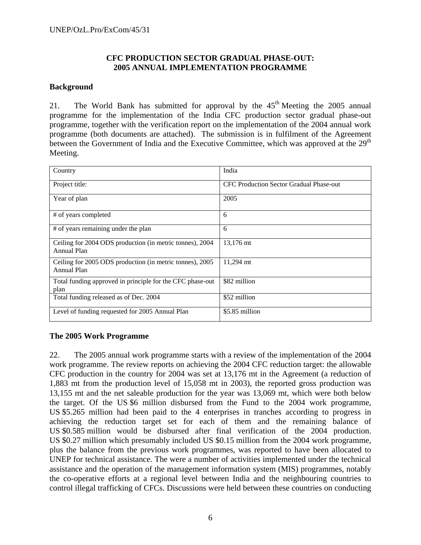#### **CFC PRODUCTION SECTOR GRADUAL PHASE-OUT: 2005 ANNUAL IMPLEMENTATION PROGRAMME**

#### **Background**

21. The World Bank has submitted for approval by the  $45<sup>th</sup>$  Meeting the 2005 annual programme for the implementation of the India CFC production sector gradual phase-out programme, together with the verification report on the implementation of the 2004 annual work programme (both documents are attached). The submission is in fulfilment of the Agreement between the Government of India and the Executive Committee, which was approved at the 29<sup>th</sup> Meeting.

| Country                                                                 | India                                          |
|-------------------------------------------------------------------------|------------------------------------------------|
| Project title:                                                          | <b>CFC Production Sector Gradual Phase-out</b> |
| Year of plan                                                            | 2005                                           |
| # of years completed                                                    | 6                                              |
| # of years remaining under the plan                                     | 6                                              |
| Ceiling for 2004 ODS production (in metric tonnes), 2004<br>Annual Plan | 13,176 mt                                      |
| Ceiling for 2005 ODS production (in metric tonnes), 2005<br>Annual Plan | 11,294 mt                                      |
| Total funding approved in principle for the CFC phase-out<br>plan       | \$82 million                                   |
| Total funding released as of Dec. 2004                                  | \$52 million                                   |
| Level of funding requested for 2005 Annual Plan                         | \$5.85 million                                 |

#### **The 2005 Work Programme**

22. The 2005 annual work programme starts with a review of the implementation of the 2004 work programme. The review reports on achieving the 2004 CFC reduction target: the allowable CFC production in the country for 2004 was set at 13,176 mt in the Agreement (a reduction of 1,883 mt from the production level of 15,058 mt in 2003), the reported gross production was 13,155 mt and the net saleable production for the year was 13,069 mt, which were both below the target. Of the US \$6 million disbursed from the Fund to the 2004 work programme, US \$5.265 million had been paid to the 4 enterprises in tranches according to progress in achieving the reduction target set for each of them and the remaining balance of US \$0.585 million would be disbursed after final verification of the 2004 production. US \$0.27 million which presumably included US \$0.15 million from the 2004 work programme, plus the balance from the previous work programmes, was reported to have been allocated to UNEP for technical assistance. The were a number of activities implemented under the technical assistance and the operation of the management information system (MIS) programmes, notably the co-operative efforts at a regional level between India and the neighbouring countries to control illegal trafficking of CFCs. Discussions were held between these countries on conducting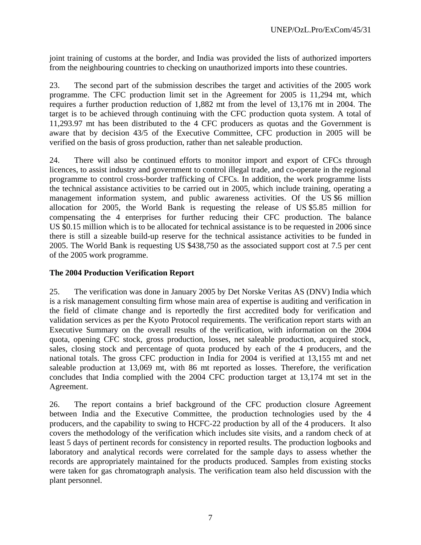joint training of customs at the border, and India was provided the lists of authorized importers from the neighbouring countries to checking on unauthorized imports into these countries.

23. The second part of the submission describes the target and activities of the 2005 work programme. The CFC production limit set in the Agreement for 2005 is 11,294 mt, which requires a further production reduction of 1,882 mt from the level of 13,176 mt in 2004. The target is to be achieved through continuing with the CFC production quota system. A total of 11,293.97 mt has been distributed to the 4 CFC producers as quotas and the Government is aware that by decision 43/5 of the Executive Committee, CFC production in 2005 will be verified on the basis of gross production, rather than net saleable production.

24. There will also be continued efforts to monitor import and export of CFCs through licences, to assist industry and government to control illegal trade, and co-operate in the regional programme to control cross-border trafficking of CFCs. In addition, the work programme lists the technical assistance activities to be carried out in 2005, which include training, operating a management information system, and public awareness activities. Of the US \$6 million allocation for 2005, the World Bank is requesting the release of US \$5.85 million for compensating the 4 enterprises for further reducing their CFC production. The balance US \$0.15 million which is to be allocated for technical assistance is to be requested in 2006 since there is still a sizeable build-up reserve for the technical assistance activities to be funded in 2005. The World Bank is requesting US \$438,750 as the associated support cost at 7.5 per cent of the 2005 work programme.

### **The 2004 Production Verification Report**

25. The verification was done in January 2005 by Det Norske Veritas AS (DNV) India which is a risk management consulting firm whose main area of expertise is auditing and verification in the field of climate change and is reportedly the first accredited body for verification and validation services as per the Kyoto Protocol requirements. The verification report starts with an Executive Summary on the overall results of the verification, with information on the 2004 quota, opening CFC stock, gross production, losses, net saleable production, acquired stock, sales, closing stock and percentage of quota produced by each of the 4 producers, and the national totals. The gross CFC production in India for 2004 is verified at 13,155 mt and net saleable production at 13,069 mt, with 86 mt reported as losses. Therefore, the verification concludes that India complied with the 2004 CFC production target at 13,174 mt set in the Agreement.

26. The report contains a brief background of the CFC production closure Agreement between India and the Executive Committee, the production technologies used by the 4 producers, and the capability to swing to HCFC-22 production by all of the 4 producers. It also covers the methodology of the verification which includes site visits, and a random check of at least 5 days of pertinent records for consistency in reported results. The production logbooks and laboratory and analytical records were correlated for the sample days to assess whether the records are appropriately maintained for the products produced. Samples from existing stocks were taken for gas chromatograph analysis. The verification team also held discussion with the plant personnel.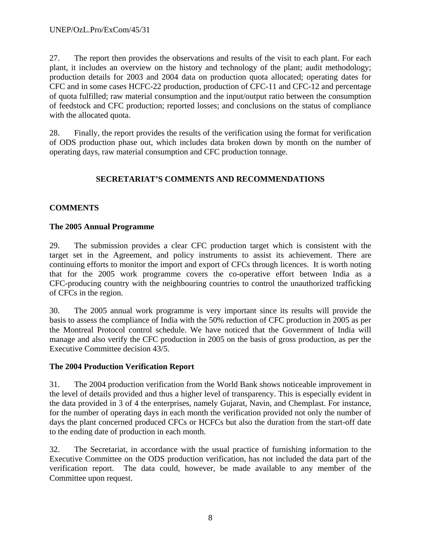27. The report then provides the observations and results of the visit to each plant. For each plant, it includes an overview on the history and technology of the plant; audit methodology; production details for 2003 and 2004 data on production quota allocated; operating dates for CFC and in some cases HCFC-22 production, production of CFC-11 and CFC-12 and percentage of quota fulfilled; raw material consumption and the input/output ratio between the consumption of feedstock and CFC production; reported losses; and conclusions on the status of compliance with the allocated quota.

28. Finally, the report provides the results of the verification using the format for verification of ODS production phase out, which includes data broken down by month on the number of operating days, raw material consumption and CFC production tonnage.

## **SECRETARIAT'S COMMENTS AND RECOMMENDATIONS**

## **COMMENTS**

#### **The 2005 Annual Programme**

29. The submission provides a clear CFC production target which is consistent with the target set in the Agreement, and policy instruments to assist its achievement. There are continuing efforts to monitor the import and export of CFCs through licences. It is worth noting that for the 2005 work programme covers the co-operative effort between India as a CFC-producing country with the neighbouring countries to control the unauthorized trafficking of CFCs in the region.

30. The 2005 annual work programme is very important since its results will provide the basis to assess the compliance of India with the 50% reduction of CFC production in 2005 as per the Montreal Protocol control schedule. We have noticed that the Government of India will manage and also verify the CFC production in 2005 on the basis of gross production, as per the Executive Committee decision 43/5.

## **The 2004 Production Verification Report**

31. The 2004 production verification from the World Bank shows noticeable improvement in the level of details provided and thus a higher level of transparency. This is especially evident in the data provided in 3 of 4 the enterprises, namely Gujarat, Navin, and Chemplast. For instance, for the number of operating days in each month the verification provided not only the number of days the plant concerned produced CFCs or HCFCs but also the duration from the start-off date to the ending date of production in each month.

32. The Secretariat, in accordance with the usual practice of furnishing information to the Executive Committee on the ODS production verification, has not included the data part of the verification report. The data could, however, be made available to any member of the Committee upon request.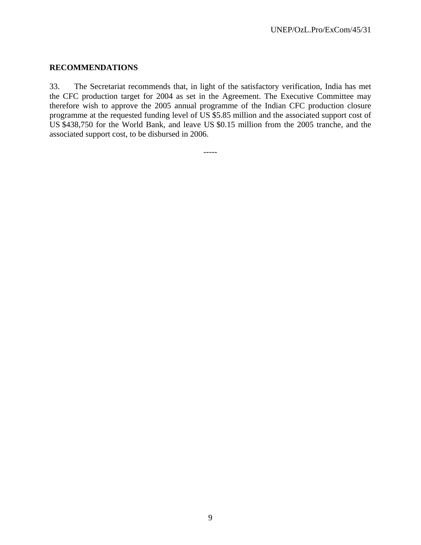#### **RECOMMENDATIONS**

33. The Secretariat recommends that, in light of the satisfactory verification, India has met the CFC production target for 2004 as set in the Agreement. The Executive Committee may therefore wish to approve the 2005 annual programme of the Indian CFC production closure programme at the requested funding level of US \$5.85 million and the associated support cost of US \$438,750 for the World Bank, and leave US \$0.15 million from the 2005 tranche, and the associated support cost, to be disbursed in 2006.

-----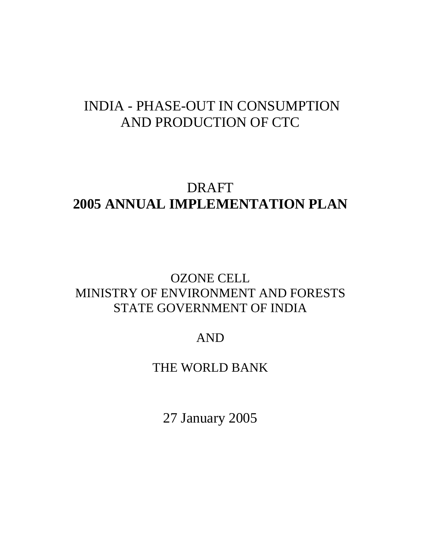# INDIA - PHASE-OUT IN CONSUMPTION AND PRODUCTION OF CTC

# DRAFT **2005 ANNUAL IMPLEMENTATION PLAN**

## OZONE CELL MINISTRY OF ENVIRONMENT AND FORESTS STATE GOVERNMENT OF INDIA

## AND

## THE WORLD BANK

27 January 2005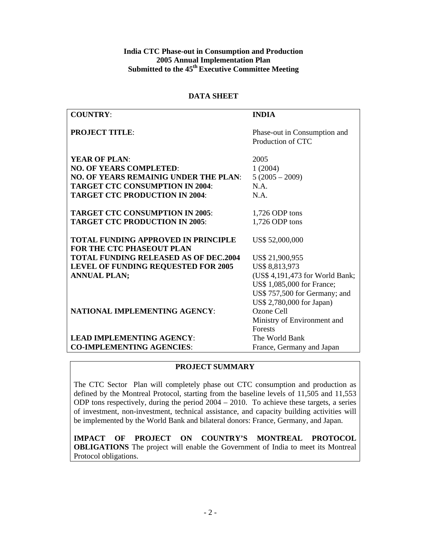#### **India CTC Phase-out in Consumption and Production 2005 Annual Implementation Plan Submitted to the 45th Executive Committee Meeting**

#### **DATA SHEET**

| <b>COUNTRY:</b>                              | <b>INDIA</b>                                      |
|----------------------------------------------|---------------------------------------------------|
|                                              |                                                   |
| <b>PROJECT TITLE:</b>                        | Phase-out in Consumption and<br>Production of CTC |
|                                              |                                                   |
| <b>YEAR OF PLAN:</b>                         | 2005                                              |
| <b>NO. OF YEARS COMPLETED:</b>               | 1(2004)                                           |
| <b>NO. OF YEARS REMAINIG UNDER THE PLAN:</b> | $5(2005 - 2009)$                                  |
| <b>TARGET CTC CONSUMPTION IN 2004:</b>       | N.A.                                              |
| <b>TARGET CTC PRODUCTION IN 2004:</b>        | N.A.                                              |
|                                              |                                                   |
| <b>TARGET CTC CONSUMPTION IN 2005:</b>       | 1,726 ODP tons                                    |
| <b>TARGET CTC PRODUCTION IN 2005:</b>        | 1,726 ODP tons                                    |
|                                              |                                                   |
| <b>TOTAL FUNDING APPROVED IN PRINCIPLE</b>   | US\$ 52,000,000                                   |
| <b>FOR THE CTC PHASEOUT PLAN</b>             |                                                   |
| <b>TOTAL FUNDING RELEASED AS OF DEC.2004</b> | US\$ 21,900,955                                   |
| LEVEL OF FUNDING REQUESTED FOR 2005          | US\$ 8,813,973                                    |
| <b>ANNUAL PLAN;</b>                          | (US\$ 4,191,473 for World Bank;                   |
|                                              | US\$ 1,085,000 for France;                        |
|                                              | US\$ 757,500 for Germany; and                     |
|                                              | US\$ 2,780,000 for Japan)                         |
| <b>NATIONAL IMPLEMENTING AGENCY:</b>         | Ozone Cell                                        |
|                                              | Ministry of Environment and                       |
|                                              | Forests                                           |
| <b>LEAD IMPLEMENTING AGENCY:</b>             | The World Bank                                    |
| <b>CO-IMPLEMENTING AGENCIES:</b>             | France, Germany and Japan                         |

#### **PROJECT SUMMARY**

The CTC Sector Plan will completely phase out CTC consumption and production as defined by the Montreal Protocol, starting from the baseline levels of 11,505 and 11,553 ODP tons respectively, during the period 2004 – 2010. To achieve these targets, a series of investment, non-investment, technical assistance, and capacity building activities will be implemented by the World Bank and bilateral donors: France, Germany, and Japan.

**IMPACT OF PROJECT ON COUNTRY'S MONTREAL PROTOCOL OBLIGATIONS** The project will enable the Government of India to meet its Montreal Protocol obligations.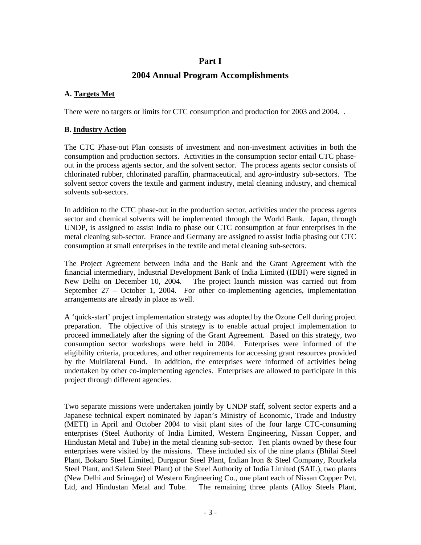## **Part I**

## **2004 Annual Program Accomplishments**

## **A. Targets Met**

There were no targets or limits for CTC consumption and production for 2003 and 2004. .

#### **B. Industry Action**

The CTC Phase-out Plan consists of investment and non-investment activities in both the consumption and production sectors. Activities in the consumption sector entail CTC phaseout in the process agents sector, and the solvent sector. The process agents sector consists of chlorinated rubber, chlorinated paraffin, pharmaceutical, and agro-industry sub-sectors. The solvent sector covers the textile and garment industry, metal cleaning industry, and chemical solvents sub-sectors.

In addition to the CTC phase-out in the production sector, activities under the process agents sector and chemical solvents will be implemented through the World Bank. Japan, through UNDP, is assigned to assist India to phase out CTC consumption at four enterprises in the metal cleaning sub-sector. France and Germany are assigned to assist India phasing out CTC consumption at small enterprises in the textile and metal cleaning sub-sectors.

The Project Agreement between India and the Bank and the Grant Agreement with the financial intermediary, Industrial Development Bank of India Limited (IDBI) were signed in New Delhi on December 10, 2004. The project launch mission was carried out from September 27 – October 1, 2004. For other co-implementing agencies, implementation arrangements are already in place as well.

A 'quick-start' project implementation strategy was adopted by the Ozone Cell during project preparation. The objective of this strategy is to enable actual project implementation to proceed immediately after the signing of the Grant Agreement. Based on this strategy, two consumption sector workshops were held in 2004. Enterprises were informed of the eligibility criteria, procedures, and other requirements for accessing grant resources provided by the Multilateral Fund. In addition, the enterprises were informed of activities being undertaken by other co-implementing agencies. Enterprises are allowed to participate in this project through different agencies.

Two separate missions were undertaken jointly by UNDP staff, solvent sector experts and a Japanese technical expert nominated by Japan's Ministry of Economic, Trade and Industry (METI) in April and October 2004 to visit plant sites of the four large CTC-consuming enterprises (Steel Authority of India Limited, Western Engineering, Nissan Copper, and Hindustan Metal and Tube) in the metal cleaning sub-sector. Ten plants owned by these four enterprises were visited by the missions. These included six of the nine plants (Bhilai Steel Plant, Bokaro Steel Limited, Durgapur Steel Plant, Indian Iron & Steel Company, Rourkela Steel Plant, and Salem Steel Plant) of the Steel Authority of India Limited (SAIL), two plants (New Delhi and Srinagar) of Western Engineering Co., one plant each of Nissan Copper Pvt. Ltd, and Hindustan Metal and Tube. The remaining three plants (Alloy Steels Plant,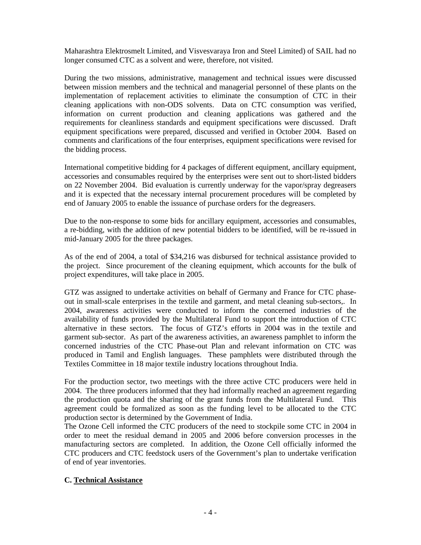Maharashtra Elektrosmelt Limited, and Visvesvaraya Iron and Steel Limited) of SAIL had no longer consumed CTC as a solvent and were, therefore, not visited.

During the two missions, administrative, management and technical issues were discussed between mission members and the technical and managerial personnel of these plants on the implementation of replacement activities to eliminate the consumption of CTC in their cleaning applications with non-ODS solvents. Data on CTC consumption was verified, information on current production and cleaning applications was gathered and the requirements for cleanliness standards and equipment specifications were discussed. Draft equipment specifications were prepared, discussed and verified in October 2004. Based on comments and clarifications of the four enterprises, equipment specifications were revised for the bidding process.

International competitive bidding for 4 packages of different equipment, ancillary equipment, accessories and consumables required by the enterprises were sent out to short-listed bidders on 22 November 2004. Bid evaluation is currently underway for the vapor/spray degreasers and it is expected that the necessary internal procurement procedures will be completed by end of January 2005 to enable the issuance of purchase orders for the degreasers.

Due to the non-response to some bids for ancillary equipment, accessories and consumables, a re-bidding, with the addition of new potential bidders to be identified, will be re-issued in mid-January 2005 for the three packages.

As of the end of 2004, a total of \$34,216 was disbursed for technical assistance provided to the project. Since procurement of the cleaning equipment, which accounts for the bulk of project expenditures, will take place in 2005.

GTZ was assigned to undertake activities on behalf of Germany and France for CTC phaseout in small-scale enterprises in the textile and garment, and metal cleaning sub-sectors,. In 2004, awareness activities were conducted to inform the concerned industries of the availability of funds provided by the Multilateral Fund to support the introduction of CTC alternative in these sectors. The focus of GTZ's efforts in 2004 was in the textile and garment sub-sector. As part of the awareness activities, an awareness pamphlet to inform the concerned industries of the CTC Phase-out Plan and relevant information on CTC was produced in Tamil and English languages. These pamphlets were distributed through the Textiles Committee in 18 major textile industry locations throughout India.

For the production sector, two meetings with the three active CTC producers were held in 2004. The three producers informed that they had informally reached an agreement regarding the production quota and the sharing of the grant funds from the Multilateral Fund. This agreement could be formalized as soon as the funding level to be allocated to the CTC production sector is determined by the Government of India.

The Ozone Cell informed the CTC producers of the need to stockpile some CTC in 2004 in order to meet the residual demand in 2005 and 2006 before conversion processes in the manufacturing sectors are completed. In addition, the Ozone Cell officially informed the CTC producers and CTC feedstock users of the Government's plan to undertake verification of end of year inventories.

#### **C. Technical Assistance**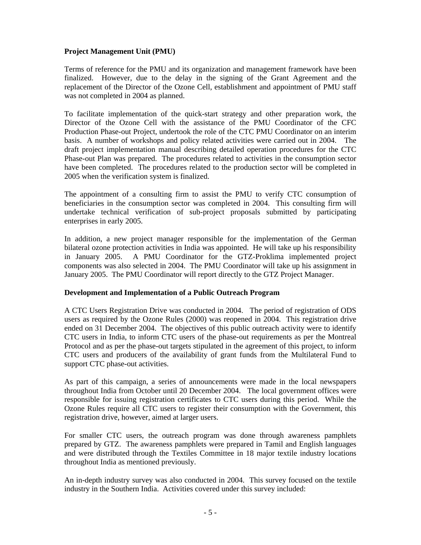#### **Project Management Unit (PMU)**

Terms of reference for the PMU and its organization and management framework have been finalized. However, due to the delay in the signing of the Grant Agreement and the replacement of the Director of the Ozone Cell, establishment and appointment of PMU staff was not completed in 2004 as planned.

To facilitate implementation of the quick-start strategy and other preparation work, the Director of the Ozone Cell with the assistance of the PMU Coordinator of the CFC Production Phase-out Project, undertook the role of the CTC PMU Coordinator on an interim basis. A number of workshops and policy related activities were carried out in 2004. The draft project implementation manual describing detailed operation procedures for the CTC Phase-out Plan was prepared. The procedures related to activities in the consumption sector have been completed. The procedures related to the production sector will be completed in 2005 when the verification system is finalized.

The appointment of a consulting firm to assist the PMU to verify CTC consumption of beneficiaries in the consumption sector was completed in 2004. This consulting firm will undertake technical verification of sub-project proposals submitted by participating enterprises in early 2005.

In addition, a new project manager responsible for the implementation of the German bilateral ozone protection activities in India was appointed. He will take up his responsibility in January 2005. A PMU Coordinator for the GTZ-Proklima implemented project components was also selected in 2004. The PMU Coordinator will take up his assignment in January 2005. The PMU Coordinator will report directly to the GTZ Project Manager.

#### **Development and Implementation of a Public Outreach Program**

A CTC Users Registration Drive was conducted in 2004. The period of registration of ODS users as required by the Ozone Rules (2000) was reopened in 2004. This registration drive ended on 31 December 2004. The objectives of this public outreach activity were to identify CTC users in India, to inform CTC users of the phase-out requirements as per the Montreal Protocol and as per the phase-out targets stipulated in the agreement of this project, to inform CTC users and producers of the availability of grant funds from the Multilateral Fund to support CTC phase-out activities.

As part of this campaign, a series of announcements were made in the local newspapers throughout India from October until 20 December 2004. The local government offices were responsible for issuing registration certificates to CTC users during this period. While the Ozone Rules require all CTC users to register their consumption with the Government, this registration drive, however, aimed at larger users.

For smaller CTC users, the outreach program was done through awareness pamphlets prepared by GTZ. The awareness pamphlets were prepared in Tamil and English languages and were distributed through the Textiles Committee in 18 major textile industry locations throughout India as mentioned previously.

An in-depth industry survey was also conducted in 2004. This survey focused on the textile industry in the Southern India. Activities covered under this survey included: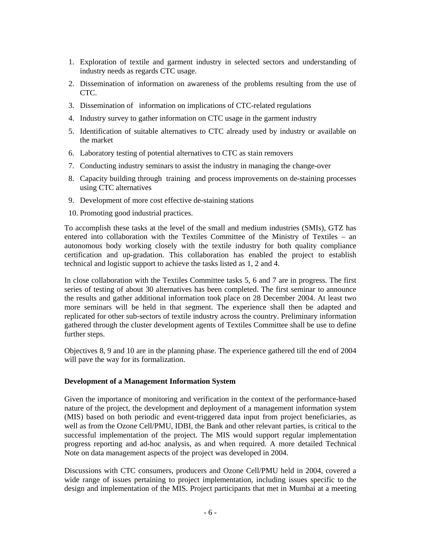- 1. Exploration of textile and garment industry in selected sectors and understanding of industry needs as regards CTC usage.
- 2. Dissemination of information on awareness of the problems resulting from the use of CTC.
- 3. Dissemination of information on implications of CTC-related regulations
- 4. Industry survey to gather information on CTC usage in the garment industry
- 5. Identification of suitable alternatives to CTC already used by industry or available on the market
- 6. Laboratory testing of potential alternatives to CTC as stain removers
- 7. Conducting industry seminars to assist the industry in managing the change-over
- 8. Capacity building through training and process improvements on de-staining processes using CTC alternatives
- 9. Development of more cost effective de-staining stations
- 10. Promoting good industrial practices.

To accomplish these tasks at the level of the small and medium industries (SMIs), GTZ has entered into collaboration with the Textiles Committee of the Ministry of Textiles – an autonomous body working closely with the textile industry for both quality compliance certification and up-gradation. This collaboration has enabled the project to establish technical and logistic support to achieve the tasks listed as 1, 2 and 4.

In close collaboration with the Textiles Committee tasks 5, 6 and 7 are in progress. The first series of testing of about 30 alternatives has been completed. The first seminar to announce the results and gather additional information took place on 28 December 2004. At least two more seminars will be held in that segment. The experience shall then be adapted and replicated for other sub-sectors of textile industry across the country. Preliminary information gathered through the cluster development agents of Textiles Committee shall be use to define further steps.

Objectives 8, 9 and 10 are in the planning phase. The experience gathered till the end of 2004 will pave the way for its formalization.

#### **Development of a Management Information System**

Given the importance of monitoring and verification in the context of the performance-based nature of the project, the development and deployment of a management information system (MIS) based on both periodic and event-triggered data input from project beneficiaries, as well as from the Ozone Cell/PMU, IDBI, the Bank and other relevant parties, is critical to the successful implementation of the project. The MIS would support regular implementation progress reporting and ad-hoc analysis, as and when required. A more detailed Technical Note on data management aspects of the project was developed in 2004.

Discussions with CTC consumers, producers and Ozone Cell/PMU held in 2004, covered a wide range of issues pertaining to project implementation, including issues specific to the design and implementation of the MIS. Project participants that met in Mumbai at a meeting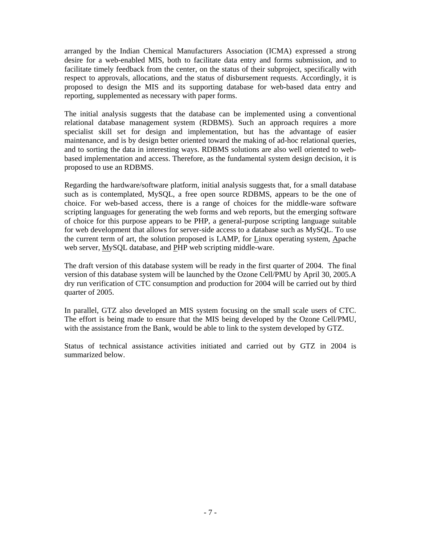arranged by the Indian Chemical Manufacturers Association (ICMA) expressed a strong desire for a web-enabled MIS, both to facilitate data entry and forms submission, and to facilitate timely feedback from the center, on the status of their subproject, specifically with respect to approvals, allocations, and the status of disbursement requests. Accordingly, it is proposed to design the MIS and its supporting database for web-based data entry and reporting, supplemented as necessary with paper forms.

The initial analysis suggests that the database can be implemented using a conventional relational database management system (RDBMS). Such an approach requires a more specialist skill set for design and implementation, but has the advantage of easier maintenance, and is by design better oriented toward the making of ad-hoc relational queries, and to sorting the data in interesting ways. RDBMS solutions are also well oriented to webbased implementation and access. Therefore, as the fundamental system design decision, it is proposed to use an RDBMS.

Regarding the hardware/software platform, initial analysis suggests that, for a small database such as is contemplated, MySQL, a free open source RDBMS, appears to be the one of choice. For web-based access, there is a range of choices for the middle-ware software scripting languages for generating the web forms and web reports, but the emerging software of choice for this purpose appears to be PHP, a general-purpose scripting language suitable for web development that allows for server-side access to a database such as MySQL. To use the current term of art, the solution proposed is LAMP, for Linux operating system, Apache web server, MySQL database, and PHP web scripting middle-ware.

The draft version of this database system will be ready in the first quarter of 2004. The final version of this database system will be launched by the Ozone Cell/PMU by April 30, 2005.A dry run verification of CTC consumption and production for 2004 will be carried out by third quarter of 2005.

In parallel, GTZ also developed an MIS system focusing on the small scale users of CTC. The effort is being made to ensure that the MIS being developed by the Ozone Cell/PMU, with the assistance from the Bank, would be able to link to the system developed by GTZ.

Status of technical assistance activities initiated and carried out by GTZ in 2004 is summarized below.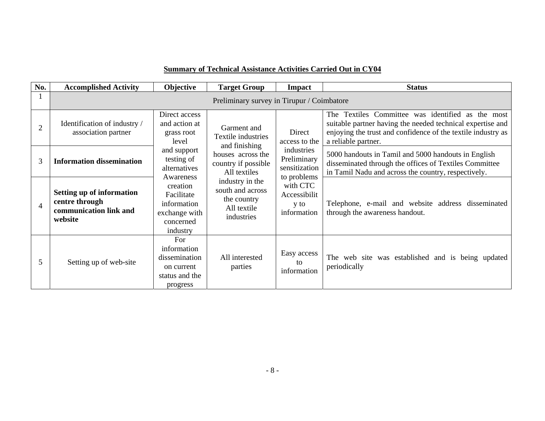| No.            | <b>Accomplished Activity</b>                                                            | Objective                                                                                                                                                                                          | <b>Target Group</b>                                                             | <b>Impact</b>                                             | <b>Status</b>                                                                                                                                                                                          |  |  |  |
|----------------|-----------------------------------------------------------------------------------------|----------------------------------------------------------------------------------------------------------------------------------------------------------------------------------------------------|---------------------------------------------------------------------------------|-----------------------------------------------------------|--------------------------------------------------------------------------------------------------------------------------------------------------------------------------------------------------------|--|--|--|
|                | Preliminary survey in Tirupur / Coimbatore                                              |                                                                                                                                                                                                    |                                                                                 |                                                           |                                                                                                                                                                                                        |  |  |  |
| $\overline{2}$ | Identification of industry /<br>association partner                                     | Direct access<br>and action at<br>grass root<br>level<br>and support<br>testing of<br>alternatives<br>Awareness<br>creation<br>Facilitate<br>information<br>exchange with<br>concerned<br>industry | Garment and<br>Textile industries<br>and finishing                              | Direct<br>access to the                                   | The Textiles Committee was identified as the most<br>suitable partner having the needed technical expertise and<br>enjoying the trust and confidence of the textile industry as<br>a reliable partner. |  |  |  |
| 3              | <b>Information dissemination</b>                                                        |                                                                                                                                                                                                    | houses across the<br>country if possible<br>All textiles                        | industries<br>Preliminary<br>sensitization<br>to problems | 5000 handouts in Tamil and 5000 handouts in English<br>disseminated through the offices of Textiles Committee<br>in Tamil Nadu and across the country, respectively.                                   |  |  |  |
| $\overline{4}$ | <b>Setting up of information</b><br>centre through<br>communication link and<br>website |                                                                                                                                                                                                    | industry in the<br>south and across<br>the country<br>All textile<br>industries | with CTC<br>Accessibilit<br>y to<br>information           | Telephone, e-mail and website address disseminated<br>through the awareness handout.                                                                                                                   |  |  |  |
| 5              | Setting up of web-site                                                                  | For<br>information<br>dissemination<br>on current<br>status and the<br>progress                                                                                                                    | All interested<br>parties                                                       | Easy access<br>tΩ<br>information                          | The web site was established and is being updated<br>periodically                                                                                                                                      |  |  |  |

## **Summary of Technical Assistance Activities Carried Out in CY04**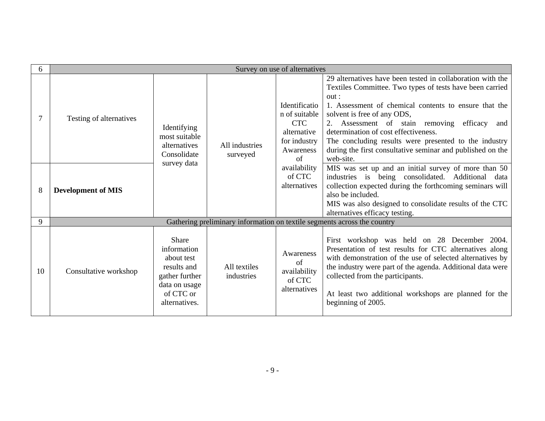| 6  | Survey on use of alternatives |                                                                                                                    |                            |                                                                                                |                                                                                                                                                                                                                                                                                                                                                                                                                                                          |  |  |
|----|-------------------------------|--------------------------------------------------------------------------------------------------------------------|----------------------------|------------------------------------------------------------------------------------------------|----------------------------------------------------------------------------------------------------------------------------------------------------------------------------------------------------------------------------------------------------------------------------------------------------------------------------------------------------------------------------------------------------------------------------------------------------------|--|--|
| 7  | Testing of alternatives       | Identifying<br>most suitable<br>alternatives<br>Consolidate                                                        | All industries<br>surveyed | Identificatio<br>n of suitable<br><b>CTC</b><br>alternative<br>for industry<br>Awareness<br>of | 29 alternatives have been tested in collaboration with the<br>Textiles Committee. Two types of tests have been carried<br>out:<br>1. Assessment of chemical contents to ensure that the<br>solvent is free of any ODS,<br>2. Assessment of stain removing<br>efficacy<br>and<br>determination of cost effectiveness.<br>The concluding results were presented to the industry<br>during the first consultative seminar and published on the<br>web-site. |  |  |
| 8  | <b>Development of MIS</b>     | survey data                                                                                                        |                            | availability<br>of CTC<br>alternatives                                                         | MIS was set up and an initial survey of more than 50<br>industries is being consolidated. Additional<br>data<br>collection expected during the forthcoming seminars will<br>also be included.<br>MIS was also designed to consolidate results of the CTC<br>alternatives efficacy testing.                                                                                                                                                               |  |  |
| 9  |                               |                                                                                                                    |                            |                                                                                                | Gathering preliminary information on textile segments across the country                                                                                                                                                                                                                                                                                                                                                                                 |  |  |
| 10 | Consultative workshop         | Share<br>information<br>about test<br>results and<br>gather further<br>data on usage<br>of CTC or<br>alternatives. | All textiles<br>industries | Awareness<br>of<br>availability<br>of CTC<br>alternatives                                      | First workshop was held on 28 December 2004.<br>Presentation of test results for CTC alternatives along<br>with demonstration of the use of selected alternatives by<br>the industry were part of the agenda. Additional data were<br>collected from the participants.<br>At least two additional workshops are planned for the<br>beginning of 2005.                                                                                                    |  |  |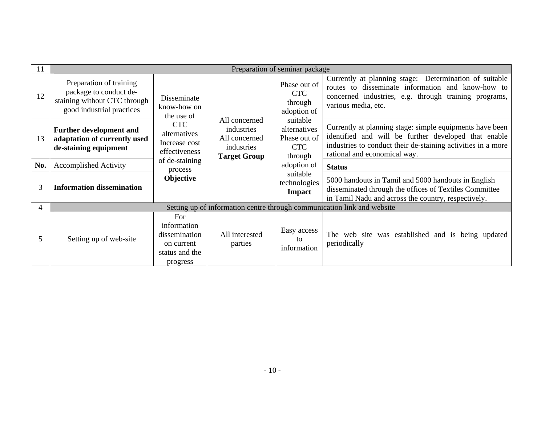| 11                    | Preparation of seminar package                                                                                 |                                                                                 |                                                                                   |                                                                   |                                                                                                                                                                                                                  |  |  |  |
|-----------------------|----------------------------------------------------------------------------------------------------------------|---------------------------------------------------------------------------------|-----------------------------------------------------------------------------------|-------------------------------------------------------------------|------------------------------------------------------------------------------------------------------------------------------------------------------------------------------------------------------------------|--|--|--|
| 12                    | Preparation of training<br>package to conduct de-<br>staining without CTC through<br>good industrial practices | Disseminate<br>know-how on<br>the use of                                        |                                                                                   | Phase out of<br><b>CTC</b><br>through<br>adoption of              | Currently at planning stage: Determination of suitable<br>routes to disseminate information and know-how to<br>concerned industries, e.g. through training programs,<br>various media, etc.                      |  |  |  |
| 13                    | <b>Further development and</b><br>adaptation of currently used<br>de-staining equipment                        | <b>CTC</b><br>alternatives<br>Increase cost<br>effectiveness                    | All concerned<br>industries<br>All concerned<br>industries<br><b>Target Group</b> | suitable<br>alternatives<br>Phase out of<br><b>CTC</b><br>through | Currently at planning stage: simple equipments have been<br>identified and will be further developed that enable<br>industries to conduct their de-staining activities in a more<br>rational and economical way. |  |  |  |
| No.                   | <b>Accomplished Activity</b>                                                                                   | of de-staining<br>process<br>Objective                                          |                                                                                   | adoption of                                                       | <b>Status</b>                                                                                                                                                                                                    |  |  |  |
| 3                     | <b>Information dissemination</b>                                                                               |                                                                                 |                                                                                   | suitable<br>technologies<br><b>Impact</b>                         | 5000 handouts in Tamil and 5000 handouts in English<br>disseminated through the offices of Textiles Committee<br>in Tamil Nadu and across the country, respectively.                                             |  |  |  |
| $\boldsymbol{\Delta}$ |                                                                                                                |                                                                                 |                                                                                   |                                                                   | Setting up of information centre through communication link and website                                                                                                                                          |  |  |  |
| 5                     | Setting up of web-site                                                                                         | For<br>information<br>dissemination<br>on current<br>status and the<br>progress | All interested<br>parties                                                         | Easy access<br>to<br>information                                  | The web site was established and is being updated<br>periodically                                                                                                                                                |  |  |  |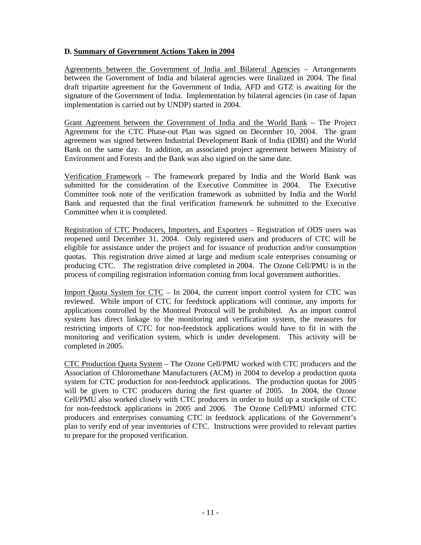#### **D. Summary of Government Actions Taken in 2004**

Agreements between the Government of India and Bilateral Agencies - Arrangements between the Government of India and bilateral agencies were finalized in 2004. The final draft tripartite agreement for the Government of India, AFD and GTZ is awaiting for the signature of the Government of India. Implementation by bilateral agencies (in case of Japan implementation is carried out by UNDP) started in 2004.

Grant Agreement between the Government of India and the World Bank – The Project Agreement for the CTC Phase-out Plan was signed on December 10, 2004. The grant agreement was signed between Industrial Development Bank of India (IDBI) and the World Bank on the same day. In addition, an associated project agreement between Ministry of Environment and Forests and the Bank was also signed on the same date.

Verification Framework – The framework prepared by India and the World Bank was submitted for the consideration of the Executive Committee in 2004. The Executive Committee took note of the verification framework as submitted by India and the World Bank and requested that the final verification framework be submitted to the Executive Committee when it is completed.

Registration of CTC Producers, Importers, and Exporters – Registration of ODS users was reopened until December 31, 2004. Only registered users and producers of CTC will be eligible for assistance under the project and for issuance of production and/or consumption quotas. This registration drive aimed at large and medium scale enterprises consuming or producing CTC. The registration drive completed in 2004. The Ozone Cell/PMU is in the process of compiling registration information coming from local government authorities.

Import Quota System for CTC – In 2004, the current import control system for CTC was reviewed. While import of CTC for feedstock applications will continue, any imports for applications controlled by the Montreal Protocol will be prohibited. As an import control system has direct linkage to the monitoring and verification system, the measures for restricting imports of CTC for non-feedstock applications would have to fit in with the monitoring and verification system, which is under development. This activity will be completed in 2005.

CTC Production Quota System – The Ozone Cell/PMU worked with CTC producers and the Association of Chloromethane Manufacturers (ACM) in 2004 to develop a production quota system for CTC production for non-feedstock applications. The production quotas for 2005 will be given to CTC producers during the first quarter of 2005. In 2004, the Ozone Cell/PMU also worked closely with CTC producers in order to build up a stockpile of CTC for non-feedstock applications in 2005 and 2006. The Ozone Cell/PMU informed CTC producers and enterprises consuming CTC in feedstock applications of the Government's plan to verify end of year inventories of CTC. Instructions were provided to relevant parties to prepare for the proposed verification.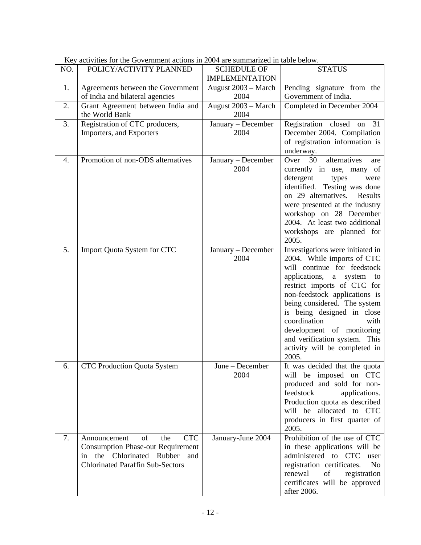| NO. | POLICY/ACTIVITY PLANNED                                                                                                                                            | <b>SCHEDULE OF</b><br><b>IMPLEMENTATION</b> | <b>STATUS</b>                                                                                                                                                                                                                                                                                                                                                                            |
|-----|--------------------------------------------------------------------------------------------------------------------------------------------------------------------|---------------------------------------------|------------------------------------------------------------------------------------------------------------------------------------------------------------------------------------------------------------------------------------------------------------------------------------------------------------------------------------------------------------------------------------------|
| 1.  | Agreements between the Government<br>of India and bilateral agencies                                                                                               | August 2003 - March<br>2004                 | Pending signature from the<br>Government of India.                                                                                                                                                                                                                                                                                                                                       |
| 2.  | Grant Agreement between India and<br>the World Bank                                                                                                                | August 2003 - March<br>2004                 | Completed in December 2004                                                                                                                                                                                                                                                                                                                                                               |
| 3.  | Registration of CTC producers,<br>Importers, and Exporters                                                                                                         | January - December<br>2004                  | Registration closed on 31<br>December 2004. Compilation<br>of registration information is<br>underway.                                                                                                                                                                                                                                                                                   |
| 4.  | Promotion of non-ODS alternatives                                                                                                                                  | January - December<br>2004                  | 30<br>alternatives<br>Over<br>are<br>currently in use, many of<br>detergent<br>types<br>were<br>identified. Testing was done<br>on 29 alternatives.<br>Results<br>were presented at the industry<br>workshop on 28 December<br>2004. At least two additional<br>workshops are planned for<br>2005.                                                                                       |
| 5.  | Import Quota System for CTC                                                                                                                                        | January - December<br>2004                  | Investigations were initiated in<br>2004. While imports of CTC<br>will continue for feedstock<br>applications, a system to<br>restrict imports of CTC for<br>non-feedstock applications is<br>being considered. The system<br>is being designed in close<br>coordination<br>with<br>development of monitoring<br>and verification system. This<br>activity will be completed in<br>2005. |
| 6.  | <b>CTC Production Quota System</b>                                                                                                                                 | June – December<br>2004                     | It was decided that the quota<br>will be imposed on CTC<br>produced and sold for non-<br>feedstock<br>applications.<br>Production quota as described<br>will be allocated to CTC<br>producers in first quarter of<br>2005.                                                                                                                                                               |
| 7.  | <b>CTC</b><br>of<br>the<br>Announcement<br><b>Consumption Phase-out Requirement</b><br>the Chlorinated Rubber and<br>in<br><b>Chlorinated Paraffin Sub-Sectors</b> | January-June 2004                           | Prohibition of the use of CTC<br>in these applications will be<br>user<br>administered to CTC<br>registration certificates.<br>N <sub>o</sub><br>registration<br>renewal<br>of<br>certificates will be approved<br>after 2006.                                                                                                                                                           |

Key activities for the Government actions in 2004 are summarized in table below.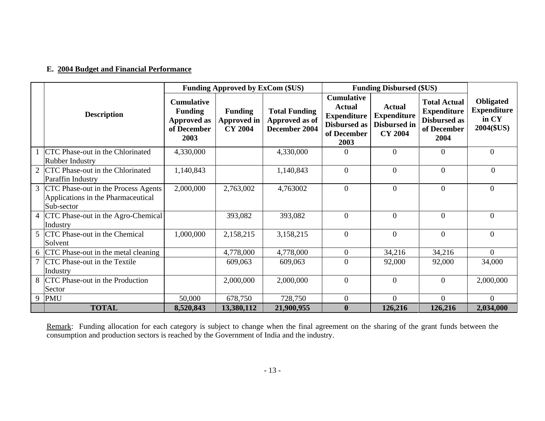## **E. 2004 Budget and Financial Performance**

|                                                                                           | <b>Funding Approved by ExCom (\$US)</b>                                          |                                                 |                                                         | <b>Funding Disbursed (\$US)</b>                                                                        |                                                                       |                                                                                         |                                                        |
|-------------------------------------------------------------------------------------------|----------------------------------------------------------------------------------|-------------------------------------------------|---------------------------------------------------------|--------------------------------------------------------------------------------------------------------|-----------------------------------------------------------------------|-----------------------------------------------------------------------------------------|--------------------------------------------------------|
| <b>Description</b>                                                                        | <b>Cumulative</b><br><b>Funding</b><br><b>Approved as</b><br>of December<br>2003 | <b>Funding</b><br>Approved in<br><b>CY 2004</b> | <b>Total Funding</b><br>Approved as of<br>December 2004 | <b>Cumulative</b><br><b>Actual</b><br><b>Expenditure</b><br><b>Disbursed as</b><br>of December<br>2003 | <b>Actual</b><br><b>Expenditure</b><br>Disbursed in<br><b>CY 2004</b> | <b>Total Actual</b><br><b>Expenditure</b><br><b>Disbursed as</b><br>of December<br>2004 | Obligated<br><b>Expenditure</b><br>in CY<br>2004(\$US) |
| CTC Phase-out in the Chlorinated<br><b>Rubber Industry</b>                                | 4,330,000                                                                        |                                                 | 4,330,000                                               | $\Omega$                                                                                               | $\overline{0}$                                                        | $\Omega$                                                                                | $\theta$                                               |
| 2 CTC Phase-out in the Chlorinated<br>Paraffin Industry                                   | 1,140,843                                                                        |                                                 | 1,140,843                                               | $\overline{0}$                                                                                         | $\theta$                                                              | $\overline{0}$                                                                          | $\theta$                                               |
| 3 CTC Phase-out in the Process Agents<br>Applications in the Pharmaceutical<br>Sub-sector | 2,000,000                                                                        | 2,763,002                                       | 4,763002                                                | $\overline{0}$                                                                                         | $\theta$                                                              | $\Omega$                                                                                | $\Omega$                                               |
| 4 CTC Phase-out in the Agro-Chemical<br>Industry                                          |                                                                                  | 393,082                                         | 393,082                                                 | $\overline{0}$                                                                                         | $\theta$                                                              | $\overline{0}$                                                                          | $\theta$                                               |
| 5 CTC Phase-out in the Chemical<br>Solvent                                                | 1,000,000                                                                        | 2,158,215                                       | 3,158,215                                               | $\overline{0}$                                                                                         | $\theta$                                                              | $\overline{0}$                                                                          | $\Omega$                                               |
| 6 CTC Phase-out in the metal cleaning                                                     |                                                                                  | 4,778,000                                       | 4,778,000                                               | $\mathbf{0}$                                                                                           | 34,216                                                                | 34,216                                                                                  | $\Omega$                                               |
| 7 CTC Phase-out in the Textile<br>Industry                                                |                                                                                  | 609,063                                         | 609,063                                                 | $\overline{0}$                                                                                         | 92,000                                                                | 92,000                                                                                  | 34,000                                                 |
| 8 CTC Phase-out in the Production<br>Sector                                               |                                                                                  | 2,000,000                                       | 2,000,000                                               | $\overline{0}$                                                                                         | $\Omega$                                                              | $\Omega$                                                                                | 2,000,000                                              |
| 9 PMU                                                                                     | 50,000                                                                           | 678,750                                         | 728,750                                                 | $\overline{0}$                                                                                         | $\Omega$                                                              | $\overline{0}$                                                                          | $\Omega$                                               |
| <b>TOTAL</b>                                                                              | 8,520,843                                                                        | 13,380,112                                      | 21,900,955                                              | $\boldsymbol{0}$                                                                                       | 126,216                                                               | 126,216                                                                                 | 2,034,000                                              |

Remark: Funding allocation for each category is subject to change when the final agreement on the sharing of the grant funds between the consumption and production sectors is reached by the Government of India and the industry.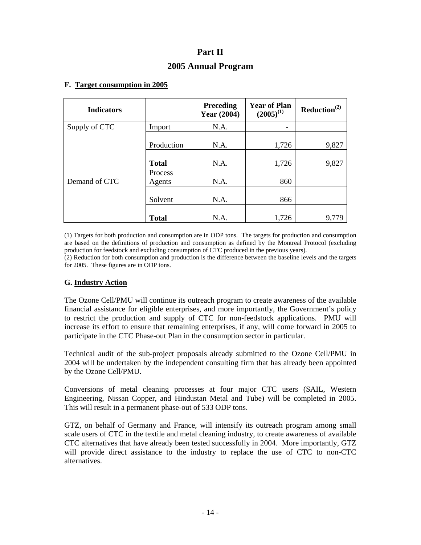## **Part II 2005 Annual Program**

#### **F. Target consumption in 2005**

| <b>Indicators</b> |                          | <b>Preceding</b><br><b>Year (2004)</b> | <b>Year of Plan</b><br>$(2005)^{(1)}$ | Reduction <sup>(2)</sup> |
|-------------------|--------------------------|----------------------------------------|---------------------------------------|--------------------------|
| Supply of CTC     | Import                   | N.A.                                   |                                       |                          |
|                   | Production               | N.A.                                   | 1,726                                 | 9,827                    |
|                   | <b>Total</b>             | N.A.                                   | 1,726                                 | 9,827                    |
| Demand of CTC     | <b>Process</b><br>Agents | N.A.                                   | 860                                   |                          |
|                   | Solvent                  | N.A.                                   | 866                                   |                          |
|                   | <b>Total</b>             | N.A.                                   | 1,726                                 | 9,779                    |

(1) Targets for both production and consumption are in ODP tons. The targets for production and consumption are based on the definitions of production and consumption as defined by the Montreal Protocol (excluding production for feedstock and excluding consumption of CTC produced in the previous years).

(2) Reduction for both consumption and production is the difference between the baseline levels and the targets for 2005. These figures are in ODP tons.

#### **G. Industry Action**

The Ozone Cell/PMU will continue its outreach program to create awareness of the available financial assistance for eligible enterprises, and more importantly, the Government's policy to restrict the production and supply of CTC for non-feedstock applications. PMU will increase its effort to ensure that remaining enterprises, if any, will come forward in 2005 to participate in the CTC Phase-out Plan in the consumption sector in particular.

Technical audit of the sub-project proposals already submitted to the Ozone Cell/PMU in 2004 will be undertaken by the independent consulting firm that has already been appointed by the Ozone Cell/PMU.

Conversions of metal cleaning processes at four major CTC users (SAIL, Western Engineering, Nissan Copper, and Hindustan Metal and Tube) will be completed in 2005. This will result in a permanent phase-out of 533 ODP tons.

GTZ, on behalf of Germany and France, will intensify its outreach program among small scale users of CTC in the textile and metal cleaning industry, to create awareness of available CTC alternatives that have already been tested successfully in 2004. More importantly, GTZ will provide direct assistance to the industry to replace the use of CTC to non-CTC alternatives.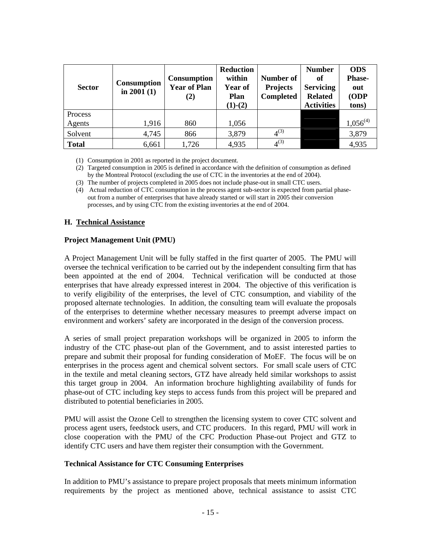| <b>Sector</b> | <b>Consumption</b><br>in $2001(1)$ | <b>Consumption</b><br><b>Year of Plan</b><br>(2) | <b>Reduction</b><br>within<br>Year of<br>Plan<br>$(1)-(2)$ | Number of<br><b>Projects</b><br><b>Completed</b> | <b>Number</b><br>of<br><b>Servicing</b><br><b>Related</b><br><b>Activities</b> | <b>ODS</b><br><b>Phase-</b><br>out<br>(ODP<br>tons) |
|---------------|------------------------------------|--------------------------------------------------|------------------------------------------------------------|--------------------------------------------------|--------------------------------------------------------------------------------|-----------------------------------------------------|
| Process       |                                    |                                                  |                                                            |                                                  |                                                                                |                                                     |
| Agents        | 1,916                              | 860                                              | 1,056                                                      |                                                  |                                                                                | $1,056^{(4)}$                                       |
| Solvent       | 4,745                              | 866                                              | 3,879                                                      | $4^{(3)}$                                        |                                                                                | 3,879                                               |
| <b>Total</b>  | 6,661                              | 1,726                                            | 4,935                                                      | $4^{(3)}$                                        |                                                                                | 4,935                                               |

(1) Consumption in 2001 as reported in the project document.

(2) Targeted consumption in 2005 is defined in accordance with the definition of consumption as defined by the Montreal Protocol (excluding the use of CTC in the inventories at the end of 2004).

(3) The number of projects completed in 2005 does not include phase-out in small CTC users.

(4) Actual reduction of CTC consumption in the process agent sub-sector is expected from partial phaseout from a number of enterprises that have already started or will start in 2005 their conversion processes, and by using CTC from the existing inventories at the end of 2004.

#### **H. Technical Assistance**

#### **Project Management Unit (PMU)**

A Project Management Unit will be fully staffed in the first quarter of 2005. The PMU will oversee the technical verification to be carried out by the independent consulting firm that has been appointed at the end of 2004. Technical verification will be conducted at those enterprises that have already expressed interest in 2004. The objective of this verification is to verify eligibility of the enterprises, the level of CTC consumption, and viability of the proposed alternate technologies. In addition, the consulting team will evaluate the proposals of the enterprises to determine whether necessary measures to preempt adverse impact on environment and workers' safety are incorporated in the design of the conversion process.

A series of small project preparation workshops will be organized in 2005 to inform the industry of the CTC phase-out plan of the Government, and to assist interested parties to prepare and submit their proposal for funding consideration of MoEF. The focus will be on enterprises in the process agent and chemical solvent sectors. For small scale users of CTC in the textile and metal cleaning sectors, GTZ have already held similar workshops to assist this target group in 2004. An information brochure highlighting availability of funds for phase-out of CTC including key steps to access funds from this project will be prepared and distributed to potential beneficiaries in 2005.

PMU will assist the Ozone Cell to strengthen the licensing system to cover CTC solvent and process agent users, feedstock users, and CTC producers. In this regard, PMU will work in close cooperation with the PMU of the CFC Production Phase-out Project and GTZ to identify CTC users and have them register their consumption with the Government.

#### **Technical Assistance for CTC Consuming Enterprises**

In addition to PMU's assistance to prepare project proposals that meets minimum information requirements by the project as mentioned above, technical assistance to assist CTC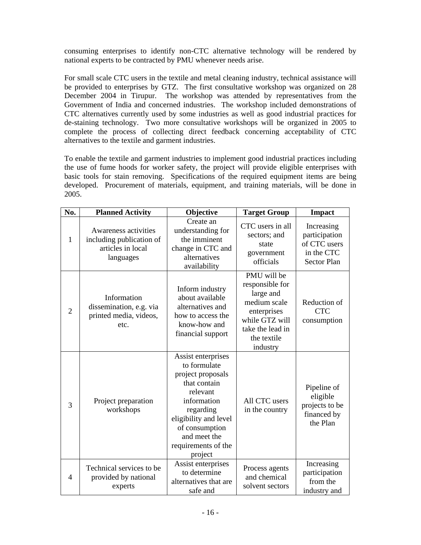consuming enterprises to identify non-CTC alternative technology will be rendered by national experts to be contracted by PMU whenever needs arise.

For small scale CTC users in the textile and metal cleaning industry, technical assistance will be provided to enterprises by GTZ. The first consultative workshop was organized on 28 December 2004 in Tirupur. The workshop was attended by representatives from the Government of India and concerned industries. The workshop included demonstrations of CTC alternatives currently used by some industries as well as good industrial practices for de-staining technology. Two more consultative workshops will be organized in 2005 to complete the process of collecting direct feedback concerning acceptability of CTC alternatives to the textile and garment industries.

To enable the textile and garment industries to implement good industrial practices including the use of fume hoods for worker safety, the project will provide eligible enterprises with basic tools for stain removing. Specifications of the required equipment items are being developed. Procurement of materials, equipment, and training materials, will be done in 2005.

| No.            | <b>Planned Activity</b>                                                            | Objective                                                                                                                                                                                                    | <b>Target Group</b>                                                                                                                         | <b>Impact</b>                                                                   |
|----------------|------------------------------------------------------------------------------------|--------------------------------------------------------------------------------------------------------------------------------------------------------------------------------------------------------------|---------------------------------------------------------------------------------------------------------------------------------------------|---------------------------------------------------------------------------------|
| $\mathbf{1}$   | Awareness activities<br>including publication of<br>articles in local<br>languages | Create an<br>understanding for<br>the imminent<br>change in CTC and<br>alternatives<br>availability                                                                                                          | CTC users in all<br>sectors; and<br>state<br>government<br>officials                                                                        | Increasing<br>participation<br>of CTC users<br>in the CTC<br><b>Sector Plan</b> |
| $\overline{2}$ | Information<br>dissemination, e.g. via<br>printed media, videos,<br>etc.           | Inform industry<br>about available<br>alternatives and<br>how to access the<br>know-how and<br>financial support                                                                                             | PMU will be<br>responsible for<br>large and<br>medium scale<br>enterprises<br>while GTZ will<br>take the lead in<br>the textile<br>industry | Reduction of<br><b>CTC</b><br>consumption                                       |
| 3              | Project preparation<br>workshops                                                   | Assist enterprises<br>to formulate<br>project proposals<br>that contain<br>relevant<br>information<br>regarding<br>eligibility and level<br>of consumption<br>and meet the<br>requirements of the<br>project | All CTC users<br>in the country                                                                                                             | Pipeline of<br>eligible<br>projects to be<br>financed by<br>the Plan            |
| $\overline{4}$ | Technical services to be<br>provided by national<br>experts                        | Assist enterprises<br>to determine<br>alternatives that are<br>safe and                                                                                                                                      | Process agents<br>and chemical<br>solvent sectors                                                                                           | Increasing<br>participation<br>from the<br>industry and                         |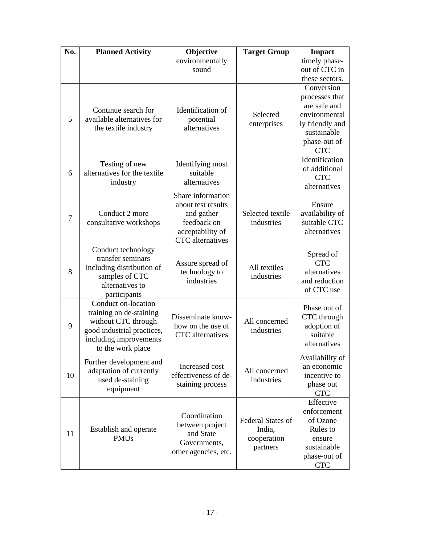| No. | <b>Planned Activity</b>                                                                                                                            | Objective                                                                                                           | <b>Target Group</b>                                           | <b>Impact</b>                                                                                                                 |
|-----|----------------------------------------------------------------------------------------------------------------------------------------------------|---------------------------------------------------------------------------------------------------------------------|---------------------------------------------------------------|-------------------------------------------------------------------------------------------------------------------------------|
|     |                                                                                                                                                    | environmentally<br>sound                                                                                            |                                                               | timely phase-<br>out of CTC in<br>these sectors.                                                                              |
| 5   | Continue search for<br>available alternatives for<br>the textile industry                                                                          | Identification of<br>potential<br>alternatives                                                                      | Selected<br>enterprises                                       | Conversion<br>processes that<br>are safe and<br>environmental<br>ly friendly and<br>sustainable<br>phase-out of<br><b>CTC</b> |
| 6   | Testing of new<br>alternatives for the textile<br>industry                                                                                         | Identifying most<br>suitable<br>alternatives                                                                        |                                                               | Identification<br>of additional<br><b>CTC</b><br>alternatives                                                                 |
| 7   | Conduct 2 more<br>consultative workshops                                                                                                           | Share information<br>about test results<br>and gather<br>feedback on<br>acceptability of<br><b>CTC</b> alternatives | Selected textile<br>industries                                | Ensure<br>availability of<br>suitable CTC<br>alternatives                                                                     |
| 8   | Conduct technology<br>transfer seminars<br>including distribution of<br>samples of CTC<br>alternatives to<br>participants                          | Assure spread of<br>technology to<br>industries                                                                     | All textiles<br>industries                                    | Spread of<br><b>CTC</b><br>alternatives<br>and reduction<br>of CTC use                                                        |
| 9   | Conduct on-location<br>training on de-staining<br>without CTC through<br>good industrial practices,<br>including improvements<br>to the work place | Disseminate know-<br>how on the use of<br><b>CTC</b> alternatives                                                   | All concerned<br>industries                                   | Phase out of<br>CTC through<br>adoption of<br>suitable<br>alternatives                                                        |
| 10  | Further development and<br>adaptation of currently<br>used de-staining<br>equipment                                                                | Increased cost<br>effectiveness of de-<br>staining process                                                          | All concerned<br>industries                                   | Availability of<br>an economic<br>incentive to<br>phase out<br><b>CTC</b>                                                     |
| 11  | Establish and operate<br><b>PMUs</b>                                                                                                               | Coordination<br>between project<br>and State<br>Governments,<br>other agencies, etc.                                | <b>Federal States of</b><br>India,<br>cooperation<br>partners | Effective<br>enforcement<br>of Ozone<br>Rules to<br>ensure<br>sustainable<br>phase-out of<br><b>CTC</b>                       |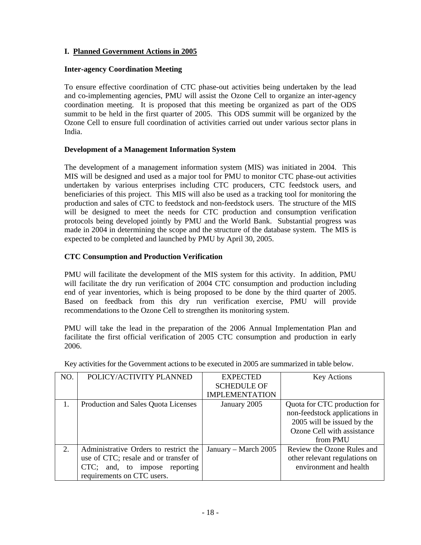### **I. Planned Government Actions in 2005**

#### **Inter-agency Coordination Meeting**

To ensure effective coordination of CTC phase-out activities being undertaken by the lead and co-implementing agencies, PMU will assist the Ozone Cell to organize an inter-agency coordination meeting. It is proposed that this meeting be organized as part of the ODS summit to be held in the first quarter of 2005. This ODS summit will be organized by the Ozone Cell to ensure full coordination of activities carried out under various sector plans in India.

#### **Development of a Management Information System**

The development of a management information system (MIS) was initiated in 2004. This MIS will be designed and used as a major tool for PMU to monitor CTC phase-out activities undertaken by various enterprises including CTC producers, CTC feedstock users, and beneficiaries of this project. This MIS will also be used as a tracking tool for monitoring the production and sales of CTC to feedstock and non-feedstock users. The structure of the MIS will be designed to meet the needs for CTC production and consumption verification protocols being developed jointly by PMU and the World Bank. Substantial progress was made in 2004 in determining the scope and the structure of the database system. The MIS is expected to be completed and launched by PMU by April 30, 2005.

#### **CTC Consumption and Production Verification**

PMU will facilitate the development of the MIS system for this activity. In addition, PMU will facilitate the dry run verification of 2004 CTC consumption and production including end of year inventories, which is being proposed to be done by the third quarter of 2005. Based on feedback from this dry run verification exercise, PMU will provide recommendations to the Ozone Cell to strengthen its monitoring system.

PMU will take the lead in the preparation of the 2006 Annual Implementation Plan and facilitate the first official verification of 2005 CTC consumption and production in early 2006.

| NO. | POLICY/ACTIVITY PLANNED               | <b>EXPECTED</b>       | <b>Key Actions</b>            |
|-----|---------------------------------------|-----------------------|-------------------------------|
|     |                                       | <b>SCHEDULE OF</b>    |                               |
|     |                                       | <b>IMPLEMENTATION</b> |                               |
|     | Production and Sales Quota Licenses   | January 2005          | Quota for CTC production for  |
|     |                                       |                       | non-feedstock applications in |
|     |                                       |                       | 2005 will be issued by the    |
|     |                                       |                       | Ozone Cell with assistance    |
|     |                                       |                       | from PMU                      |
| 2.  | Administrative Orders to restrict the | January – March 2005  | Review the Ozone Rules and    |
|     | use of CTC; resale and or transfer of |                       | other relevant regulations on |
|     | CTC; and, to impose<br>reporting      |                       | environment and health        |
|     | requirements on CTC users.            |                       |                               |

Key activities for the Government actions to be executed in 2005 are summarized in table below.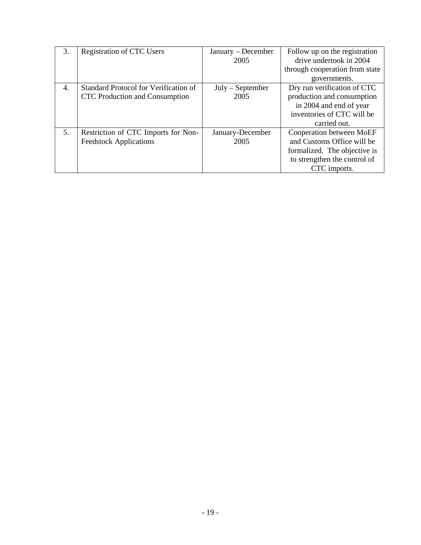| 3. | <b>Registration of CTC Users</b>                                               | January - December<br>2005 | Follow up on the registration<br>drive undertook in 2004<br>through cooperation from state<br>governments.                             |
|----|--------------------------------------------------------------------------------|----------------------------|----------------------------------------------------------------------------------------------------------------------------------------|
| 4. | <b>Standard Protocol for Verification of</b><br>CTC Production and Consumption | $July - September$<br>2005 | Dry run verification of CTC<br>production and consumption<br>in 2004 and end of year<br>inventories of CTC will be<br>carried out.     |
| 5. | Restriction of CTC Imports for Non-<br><b>Feedstock Applications</b>           | January-December<br>2005   | Cooperation between MoEF<br>and Customs Office will be<br>formalized. The objective is<br>to strengthen the control of<br>CTC imports. |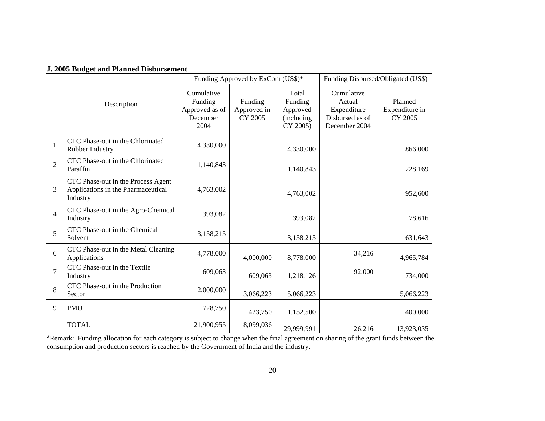|  |  |  |  |  |  | <b>J. 2005 Budget and Planned Disbursement</b> |
|--|--|--|--|--|--|------------------------------------------------|
|--|--|--|--|--|--|------------------------------------------------|

|                |                                                                                      |                                                             | Funding Approved by ExCom (US\$)* |                                                         |                                                                         | Funding Disbursed/Obligated (US\$)   |  |
|----------------|--------------------------------------------------------------------------------------|-------------------------------------------------------------|-----------------------------------|---------------------------------------------------------|-------------------------------------------------------------------------|--------------------------------------|--|
|                | Description                                                                          | Cumulative<br>Funding<br>Approved as of<br>December<br>2004 | Funding<br>Approved in<br>CY 2005 | Total<br>Funding<br>Approved<br>(including)<br>CY 2005) | Cumulative<br>Actual<br>Expenditure<br>Disbursed as of<br>December 2004 | Planned<br>Expenditure in<br>CY 2005 |  |
| $\mathbf{1}$   | CTC Phase-out in the Chlorinated<br>Rubber Industry                                  | 4,330,000                                                   |                                   | 4,330,000                                               |                                                                         | 866,000                              |  |
| $\overline{2}$ | CTC Phase-out in the Chlorinated<br>Paraffin                                         | 1,140,843                                                   |                                   | 1,140,843                                               |                                                                         | 228,169                              |  |
| 3              | CTC Phase-out in the Process Agent<br>Applications in the Pharmaceutical<br>Industry | 4,763,002                                                   |                                   | 4,763,002                                               |                                                                         | 952,600                              |  |
| $\overline{4}$ | CTC Phase-out in the Agro-Chemical<br>Industry                                       | 393,082                                                     |                                   | 393,082                                                 |                                                                         | 78,616                               |  |
| 5              | CTC Phase-out in the Chemical<br>Solvent                                             | 3,158,215                                                   |                                   | 3,158,215                                               |                                                                         | 631,643                              |  |
| 6              | CTC Phase-out in the Metal Cleaning<br>Applications                                  | 4,778,000                                                   | 4,000,000                         | 8,778,000                                               | 34,216                                                                  | 4,965,784                            |  |
| $\overline{7}$ | CTC Phase-out in the Textile<br>Industry                                             | 609,063                                                     | 609,063                           | 1,218,126                                               | 92,000                                                                  | 734,000                              |  |
| 8              | CTC Phase-out in the Production<br>Sector                                            | 2,000,000                                                   | 3,066,223                         | 5,066,223                                               |                                                                         | 5,066,223                            |  |
| 9              | <b>PMU</b>                                                                           | 728,750                                                     | 423,750                           | 1,152,500                                               |                                                                         | 400,000                              |  |
|                | <b>TOTAL</b>                                                                         | 21,900,955                                                  | 8,099,036                         | 29,999,991                                              | 126,216                                                                 | 13,923,035                           |  |

\*Remark: Funding allocation for each category is subject to change when the final agreement on sharing of the grant funds between the consumption and production sectors is reached by the Government of India and the industry.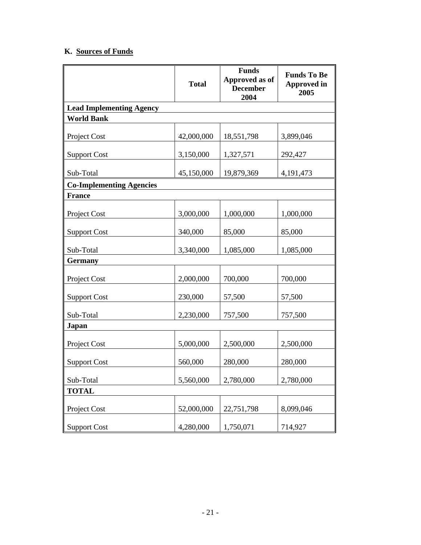## **K. Sources of Funds**

|                                 | <b>Total</b> | <b>Funds</b><br>Approved as of<br><b>December</b><br>2004 | <b>Funds To Be</b><br><b>Approved in</b><br>2005 |
|---------------------------------|--------------|-----------------------------------------------------------|--------------------------------------------------|
| <b>Lead Implementing Agency</b> |              |                                                           |                                                  |
| <b>World Bank</b>               |              |                                                           |                                                  |
| Project Cost                    | 42,000,000   | 18,551,798                                                | 3,899,046                                        |
| <b>Support Cost</b>             | 3,150,000    | 1,327,571                                                 | 292,427                                          |
| Sub-Total                       | 45,150,000   | 19,879,369                                                | 4,191,473                                        |
| <b>Co-Implementing Agencies</b> |              |                                                           |                                                  |
| <b>France</b>                   |              |                                                           |                                                  |
| Project Cost                    | 3,000,000    | 1,000,000                                                 | 1,000,000                                        |
| <b>Support Cost</b>             | 340,000      | 85,000                                                    | 85,000                                           |
| Sub-Total                       | 3,340,000    | 1,085,000                                                 | 1,085,000                                        |
| <b>Germany</b>                  |              |                                                           |                                                  |
| Project Cost                    | 2,000,000    | 700,000                                                   | 700,000                                          |
| <b>Support Cost</b>             | 230,000      | 57,500                                                    | 57,500                                           |
| Sub-Total                       | 2,230,000    | 757,500                                                   | 757,500                                          |
| Japan                           |              |                                                           |                                                  |
| Project Cost                    | 5,000,000    | 2,500,000                                                 | 2,500,000                                        |
| <b>Support Cost</b>             | 560,000      | 280,000                                                   | 280,000                                          |
| Sub-Total                       | 5,560,000    | 2,780,000                                                 | 2,780,000                                        |
| <b>TOTAL</b>                    |              |                                                           |                                                  |
| Project Cost                    | 52,000,000   | 22,751,798                                                | 8,099,046                                        |
| <b>Support Cost</b>             | 4,280,000    | 1,750,071                                                 | 714,927                                          |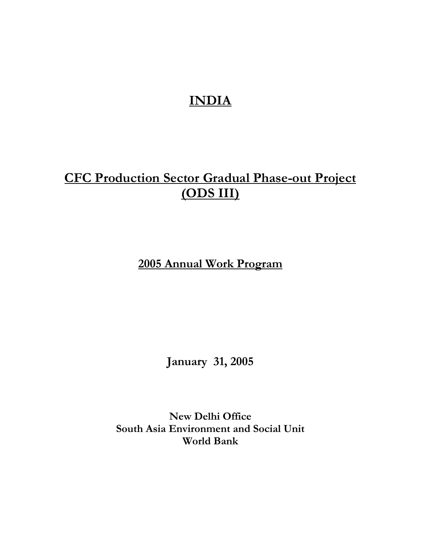# **INDIA**

## **CFC Production Sector Gradual Phase-out Project (ODS III)**

**2005 Annual Work Program**

**January 31, 2005** 

**New Delhi Office South Asia Environment and Social Unit World Bank**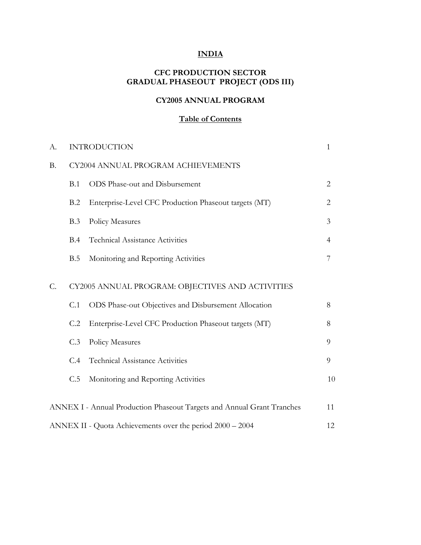## **INDIA**

## **CFC PRODUCTION SECTOR GRADUAL PHASEOUT PROJECT (ODS III)**

## **CY2005 ANNUAL PROGRAM**

## **Table of Contents**

| A.        |     | <b>INTRODUCTION</b>                                                    | 1              |
|-----------|-----|------------------------------------------------------------------------|----------------|
| <b>B.</b> |     | CY2004 ANNUAL PROGRAM ACHIEVEMENTS                                     |                |
|           | B.1 | ODS Phase-out and Disbursement                                         | $\overline{2}$ |
|           | B.2 | Enterprise-Level CFC Production Phaseout targets (MT)                  | $\overline{2}$ |
|           | B.3 | <b>Policy Measures</b>                                                 | 3              |
|           | B.4 | <b>Technical Assistance Activities</b>                                 | 4              |
|           | B.5 | Monitoring and Reporting Activities                                    | 7              |
| C.        |     | CY2005 ANNUAL PROGRAM: OBJECTIVES AND ACTIVITIES                       |                |
|           | C.1 | ODS Phase-out Objectives and Disbursement Allocation                   | 8              |
|           | C.2 | Enterprise-Level CFC Production Phaseout targets (MT)                  | 8              |
|           | C.3 | Policy Measures                                                        | 9              |
|           | C.4 | <b>Technical Assistance Activities</b>                                 | 9              |
|           | C.5 | Monitoring and Reporting Activities                                    | 10             |
|           |     | ANNEX I - Annual Production Phaseout Targets and Annual Grant Tranches | 11             |
|           |     | ANNEX II - Quota Achievements over the period 2000 - 2004              | 12             |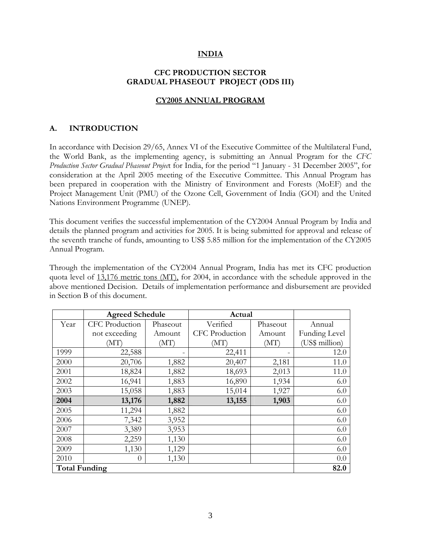#### **INDIA**

#### **CFC PRODUCTION SECTOR GRADUAL PHASEOUT PROJECT (ODS III)**

#### **CY2005 ANNUAL PROGRAM**

#### **A. INTRODUCTION**

In accordance with Decision 29/65, Annex VI of the Executive Committee of the Multilateral Fund, the World Bank, as the implementing agency, is submitting an Annual Program for the *CFC Production Sector Gradual Phaseout Projec*t for India, for the period "1 January - 31 December 2005", for consideration at the April 2005 meeting of the Executive Committee. This Annual Program has been prepared in cooperation with the Ministry of Environment and Forests (MoEF) and the Project Management Unit (PMU) of the Ozone Cell, Government of India (GOI) and the United Nations Environment Programme (UNEP).

This document verifies the successful implementation of the CY2004 Annual Program by India and details the planned program and activities for 2005. It is being submitted for approval and release of the seventh tranche of funds, amounting to US\$ 5.85 million for the implementation of the CY2005 Annual Program.

Through the implementation of the CY2004 Annual Program, India has met its CFC production quota level of 13,176 metric tons (MT), for 2004, in accordance with the schedule approved in the above mentioned Decision. Details of implementation performance and disbursement are provided in Section B of this document.

|                      | <b>Agreed Schedule</b> |          | Actual                |          |                      |
|----------------------|------------------------|----------|-----------------------|----------|----------------------|
| Year                 | CFC Production         | Phaseout | Verified              | Phaseout | Annual               |
|                      | not exceeding          | Amount   | <b>CFC</b> Production | Amount   | <b>Funding Level</b> |
|                      | (MT)                   | (MT)     | (MT)                  | (MT)     | (US\$ million)       |
| 1999                 | 22,588                 |          | 22,411                |          | 12.0                 |
| 2000                 | 20,706                 | 1,882    | 20,407                | 2,181    | 11.0                 |
| 2001                 | 18,824                 | 1,882    | 18,693                | 2,013    | 11.0                 |
| 2002                 | 16,941                 | 1,883    | 16,890                | 1,934    | 6.0                  |
| 2003                 | 15,058                 | 1,883    | 15,014                | 1,927    | 6.0                  |
| 2004                 | 13,176                 | 1,882    | 13,155                | 1,903    | 6.0                  |
| 2005                 | 11,294                 | 1,882    |                       |          | 6.0                  |
| 2006                 | 7,342                  | 3,952    |                       |          | 6.0                  |
| 2007                 | 3,389                  | 3,953    |                       |          | 6.0                  |
| 2008                 | 2,259                  | 1,130    |                       |          | 6.0                  |
| 2009                 | 1,130                  | 1,129    |                       |          | 6.0                  |
| 2010                 | $\theta$               | 1,130    |                       |          | 0.0                  |
| <b>Total Funding</b> |                        |          |                       |          | 82.0                 |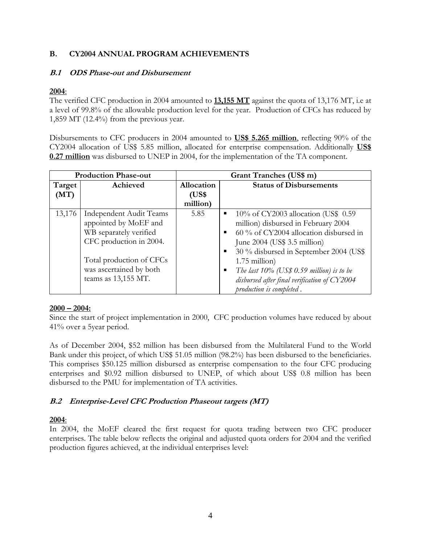#### **B. CY2004 ANNUAL PROGRAM ACHIEVEMENTS**

#### **B.1 ODS Phase-out and Disbursement**

### **2004**:

The verified CFC production in 2004 amounted to **13,155 MT** against the quota of 13,176 MT, i.e at a level of 99.8% of the allowable production level for the year. Production of CFCs has reduced by 1,859 MT (12.4%) from the previous year.

Disbursements to CFC producers in 2004 amounted to **US\$ 5.265 million**, reflecting 90% of the CY2004 allocation of US\$ 5.85 million, allocated for enterprise compensation. Additionally **US\$ 0.27 million** was disbursed to UNEP in 2004, for the implementation of the TA component.

| <b>Production Phase-out</b> |                                                                                                                                                                                            | Grant Tranches (US\$ m) |                                                                                                                                                                                                                                                                                                                                                          |  |
|-----------------------------|--------------------------------------------------------------------------------------------------------------------------------------------------------------------------------------------|-------------------------|----------------------------------------------------------------------------------------------------------------------------------------------------------------------------------------------------------------------------------------------------------------------------------------------------------------------------------------------------------|--|
| Target                      | Achieved                                                                                                                                                                                   | <b>Allocation</b>       | <b>Status of Disbursements</b>                                                                                                                                                                                                                                                                                                                           |  |
| (MT)                        |                                                                                                                                                                                            | (US\$                   |                                                                                                                                                                                                                                                                                                                                                          |  |
|                             |                                                                                                                                                                                            | million)                |                                                                                                                                                                                                                                                                                                                                                          |  |
| 13,176                      | <b>Independent Audit Teams</b><br>appointed by MoEF and<br>WB separately verified<br>CFC production in 2004.<br>Total production of CFCs<br>was ascertained by both<br>teams as 13,155 MT. | 5.85                    | $10\%$ of CY2003 allocation (US\$ 0.59<br>п.<br>million) disbursed in February 2004<br>60 % of CY2004 allocation disbursed in<br>June $2004$ (US\$ 3.5 million)<br>30 % disbursed in September 2004 (US\$<br>$1.75$ million)<br>The last $10\%$ (US\$ 0.59 million) is to be<br>disbursed after final verification of CY2004<br>production is completed. |  |

## **2000 – 2004:**

Since the start of project implementation in 2000, CFC production volumes have reduced by about 41% over a 5year period.

As of December 2004, \$52 million has been disbursed from the Multilateral Fund to the World Bank under this project, of which US\$ 51.05 million (98.2%) has been disbursed to the beneficiaries. This comprises \$50.125 million disbursed as enterprise compensation to the four CFC producing enterprises and \$0.92 million disbursed to UNEP, of which about US\$ 0.8 million has been disbursed to the PMU for implementation of TA activities.

## **B.2 Enterprise-Level CFC Production Phaseout targets (MT)**

## **2004**:

In 2004, the MoEF cleared the first request for quota trading between two CFC producer enterprises. The table below reflects the original and adjusted quota orders for 2004 and the verified production figures achieved, at the individual enterprises level: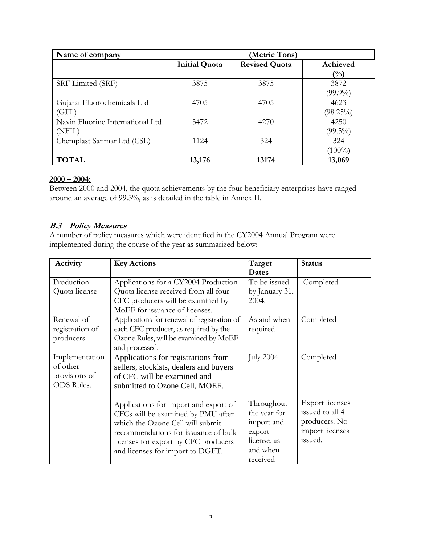| Name of company                  | (Metric Tons)        |                      |             |  |
|----------------------------------|----------------------|----------------------|-------------|--|
|                                  | <b>Initial Quota</b> | <b>Revised Quota</b> | Achieved    |  |
|                                  |                      |                      | (%)         |  |
| SRF Limited (SRF)                | 3875                 | 3875                 | 3872        |  |
|                                  |                      |                      | $(99.9\%)$  |  |
| Gujarat Fluorochemicals Ltd      | 4705                 | 4705                 | 4623        |  |
| (GFL)                            |                      |                      | $(98.25\%)$ |  |
| Navin Fluorine International Ltd | 3472                 | 4270                 | 4250        |  |
| (NFIL)                           |                      |                      | $(99.5\%)$  |  |
| Chemplast Sanmar Ltd (CSL)       | 1124                 | 324                  | 324         |  |
|                                  |                      |                      | $(100\%)$   |  |
| <b>TOTAL</b>                     | 13,176               | 13174                | 13,069      |  |

#### **2000 – 2004:**

Between 2000 and 2004, the quota achievements by the four beneficiary enterprises have ranged around an average of 99.3%, as is detailed in the table in Annex II.

## **B.3 Policy Measures**

A number of policy measures which were identified in the CY2004 Annual Program were implemented during the course of the year as summarized below:

| Activity                                                         | <b>Key Actions</b>                                                                                                                                                                                                                  | Target                                                                                    | <b>Status</b>                                                                            |
|------------------------------------------------------------------|-------------------------------------------------------------------------------------------------------------------------------------------------------------------------------------------------------------------------------------|-------------------------------------------------------------------------------------------|------------------------------------------------------------------------------------------|
|                                                                  |                                                                                                                                                                                                                                     | Dates                                                                                     |                                                                                          |
| Production<br>Quota license                                      | Applications for a CY2004 Production<br>Quota license received from all four<br>CFC producers will be examined by<br>MoEF for issuance of licenses.                                                                                 | To be issued<br>by January 31,<br>2004.                                                   | Completed                                                                                |
| Renewal of<br>registration of<br>producers                       | Applications for renewal of registration of<br>each CFC producer, as required by the<br>Ozone Rules, will be examined by MoEF<br>and processed.                                                                                     | As and when<br>required                                                                   | Completed                                                                                |
| Implementation<br>of other<br>provisions of<br><b>ODS</b> Rules. | Applications for registrations from<br>sellers, stockists, dealers and buyers<br>of CFC will be examined and<br>submitted to Ozone Cell, MOEF.                                                                                      | <b>July 2004</b>                                                                          | Completed                                                                                |
|                                                                  | Applications for import and export of<br>CFCs will be examined by PMU after<br>which the Ozone Cell will submit<br>recommendations for issuance of bulk<br>licenses for export by CFC producers<br>and licenses for import to DGFT. | Throughout<br>the year for<br>import and<br>export<br>license, as<br>and when<br>received | <b>Export licenses</b><br>issued to all 4<br>producers. No<br>import licenses<br>issued. |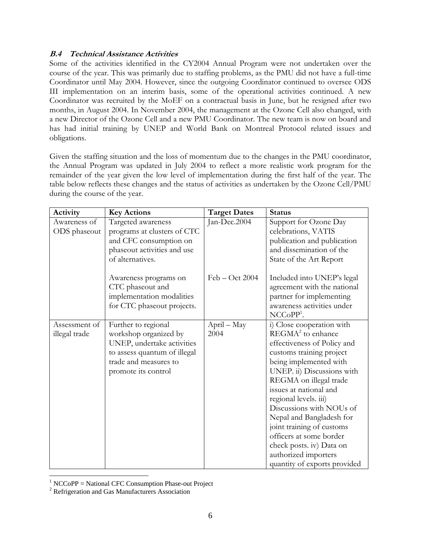#### **B.4 Technical Assistance Activities**

Some of the activities identified in the CY2004 Annual Program were not undertaken over the course of the year. This was primarily due to staffing problems, as the PMU did not have a full-time Coordinator until May 2004. However, since the outgoing Coordinator continued to oversee ODS III implementation on an interim basis, some of the operational activities continued. A new Coordinator was recruited by the MoEF on a contractual basis in June, but he resigned after two months, in August 2004. In November 2004, the management at the Ozone Cell also changed, with a new Director of the Ozone Cell and a new PMU Coordinator. The new team is now on board and has had initial training by UNEP and World Bank on Montreal Protocol related issues and obligations.

Given the staffing situation and the loss of momentum due to the changes in the PMU coordinator, the Annual Program was updated in July 2004 to reflect a more realistic work program for the remainder of the year given the low level of implementation during the first half of the year. The table below reflects these changes and the status of activities as undertaken by the Ozone Cell/PMU during the course of the year.

| Activity      | <b>Key Actions</b>                                                                                   | <b>Target Dates</b> | <b>Status</b>                                                                                                                      |
|---------------|------------------------------------------------------------------------------------------------------|---------------------|------------------------------------------------------------------------------------------------------------------------------------|
| Awareness of  | Targeted awareness                                                                                   | Jan-Dec.2004        | Support for Ozone Day                                                                                                              |
| ODS phaseout  | programs at clusters of CTC                                                                          |                     | celebrations, VATIS                                                                                                                |
|               | and CFC consumption on                                                                               |                     | publication and publication                                                                                                        |
|               | phaseout activities and use                                                                          |                     | and dissemination of the                                                                                                           |
|               | of alternatives.                                                                                     |                     | State of the Art Report                                                                                                            |
|               | Awareness programs on<br>CTC phaseout and<br>implementation modalities<br>for CTC phaseout projects. | $Feb - Oct 2004$    | Included into UNEP's legal<br>agreement with the national<br>partner for implementing<br>awareness activities under<br>$NCCoPP1$ . |
| Assessment of | Further to regional                                                                                  | April - May         | i) Close cooperation with                                                                                                          |
| illegal trade | workshop organized by                                                                                | 2004                | $REGMA2$ to enhance                                                                                                                |
|               | UNEP, undertake activities                                                                           |                     | effectiveness of Policy and                                                                                                        |
|               | to assess quantum of illegal                                                                         |                     | customs training project                                                                                                           |
|               | trade and measures to                                                                                |                     | being implemented with                                                                                                             |
|               | promote its control                                                                                  |                     | UNEP. ii) Discussions with                                                                                                         |
|               |                                                                                                      |                     | REGMA on illegal trade                                                                                                             |
|               |                                                                                                      |                     | issues at national and                                                                                                             |
|               |                                                                                                      |                     | regional levels. iii)                                                                                                              |
|               |                                                                                                      |                     | Discussions with NOUs of                                                                                                           |
|               |                                                                                                      |                     | Nepal and Bangladesh for                                                                                                           |
|               |                                                                                                      |                     | joint training of customs                                                                                                          |
|               |                                                                                                      |                     | officers at some border                                                                                                            |
|               |                                                                                                      |                     | check posts. iv) Data on                                                                                                           |
|               |                                                                                                      |                     | authorized importers                                                                                                               |
|               |                                                                                                      |                     | quantity of exports provided                                                                                                       |

 1 NCCoPP = National CFC Consumption Phase-out Project

<sup>&</sup>lt;sup>2</sup> Refrigeration and Gas Manufacturers Association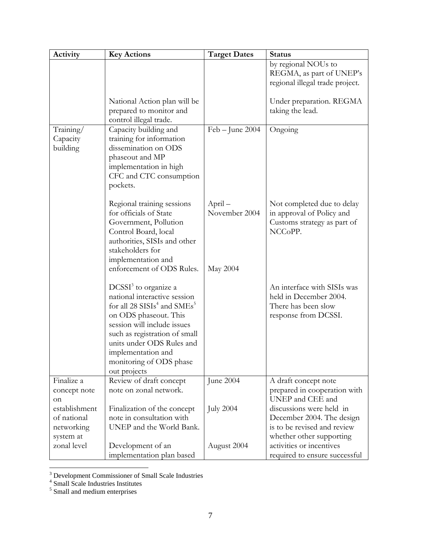| Activity                          | <b>Key Actions</b>                                                                                                                                                                                                                                                               | <b>Target Dates</b>                  | <b>Status</b>                                                                                        |
|-----------------------------------|----------------------------------------------------------------------------------------------------------------------------------------------------------------------------------------------------------------------------------------------------------------------------------|--------------------------------------|------------------------------------------------------------------------------------------------------|
|                                   |                                                                                                                                                                                                                                                                                  |                                      | by regional NOUs to                                                                                  |
|                                   |                                                                                                                                                                                                                                                                                  |                                      | REGMA, as part of UNEP's                                                                             |
|                                   |                                                                                                                                                                                                                                                                                  |                                      | regional illegal trade project.                                                                      |
|                                   | National Action plan will be<br>prepared to monitor and<br>control illegal trade.                                                                                                                                                                                                |                                      | Under preparation. REGMA<br>taking the lead.                                                         |
| Training/<br>Capacity<br>building | Capacity building and<br>training for information<br>dissemination on ODS<br>phaseout and MP<br>implementation in high<br>CFC and CTC consumption<br>pockets.                                                                                                                    | $Feb - June 2004$                    | Ongoing                                                                                              |
|                                   | Regional training sessions<br>for officials of State<br>Government, Pollution<br>Control Board, local<br>authorities, SISIs and other<br>stakeholders for<br>implementation and<br>enforcement of ODS Rules.                                                                     | April -<br>November 2004<br>May 2004 | Not completed due to delay<br>in approval of Policy and<br>Customs strategy as part of<br>NCCoPP.    |
|                                   | $DCSSI3$ to organize a<br>national interactive session<br>for all 28 $SISIs4$ and $SMEs5$<br>on ODS phaseout. This<br>session will include issues<br>such as registration of small<br>units under ODS Rules and<br>implementation and<br>monitoring of ODS phase<br>out projects |                                      | An interface with SISIs was<br>held in December 2004.<br>There has been slow<br>response from DCSSI. |
| Finalize a                        | Review of draft concept                                                                                                                                                                                                                                                          | June 2004                            | A draft concept note                                                                                 |
| concept note                      | note on zonal network.                                                                                                                                                                                                                                                           |                                      | prepared in cooperation with                                                                         |
| on                                |                                                                                                                                                                                                                                                                                  |                                      | UNEP and CEE and                                                                                     |
| establishment                     | Finalization of the concept                                                                                                                                                                                                                                                      | <b>July 2004</b>                     | discussions were held in                                                                             |
| of national                       | note in consultation with                                                                                                                                                                                                                                                        |                                      | December 2004. The design                                                                            |
| networking                        | UNEP and the World Bank.                                                                                                                                                                                                                                                         |                                      | is to be revised and review                                                                          |
| system at                         |                                                                                                                                                                                                                                                                                  |                                      | whether other supporting                                                                             |
| zonal level                       | Development of an                                                                                                                                                                                                                                                                | August 2004                          | activities or incentives                                                                             |
|                                   | implementation plan based                                                                                                                                                                                                                                                        |                                      | required to ensure successful                                                                        |

<sup>&</sup>lt;sup>3</sup> Development Commissioner of Small Scale Industries<br>
<sup>4</sup> Small Scale Industries Institutes<br>
<sup>5</sup> Small and medium enterprises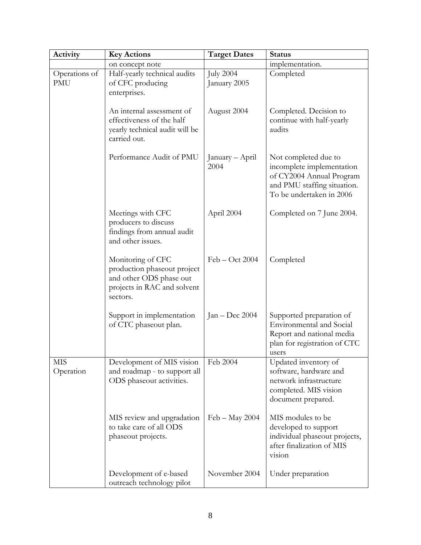| Activity                    | <b>Key Actions</b>                                                                                                     | <b>Target Dates</b>              | <b>Status</b>                                                                                                                            |  |  |
|-----------------------------|------------------------------------------------------------------------------------------------------------------------|----------------------------------|------------------------------------------------------------------------------------------------------------------------------------------|--|--|
|                             | on concept note                                                                                                        |                                  | implementation.                                                                                                                          |  |  |
| Operations of<br><b>PMU</b> | Half-yearly technical audits<br>of CFC producing<br>enterprises.                                                       | <b>July 2004</b><br>January 2005 | Completed                                                                                                                                |  |  |
|                             | An internal assessment of<br>effectiveness of the half<br>yearly technical audit will be<br>carried out.               | August 2004                      | Completed. Decision to<br>continue with half-yearly<br>audits                                                                            |  |  |
|                             | Performance Audit of PMU                                                                                               | January – April<br>2004          | Not completed due to<br>incomplete implementation<br>of CY2004 Annual Program<br>and PMU staffing situation.<br>To be undertaken in 2006 |  |  |
|                             | Meetings with CFC<br>producers to discuss<br>findings from annual audit<br>and other issues.                           | April 2004                       | Completed on 7 June 2004.                                                                                                                |  |  |
|                             | Monitoring of CFC<br>production phaseout project<br>and other ODS phase out<br>projects in RAC and solvent<br>sectors. | Feb – Oct 2004                   | Completed                                                                                                                                |  |  |
|                             | Support in implementation<br>of CTC phaseout plan.                                                                     | Jan - Dec $2004$                 | Supported preparation of<br><b>Environmental</b> and Social<br>Report and national media<br>plan for registration of CTC<br>users        |  |  |
| <b>MIS</b><br>Operation     | Development of MIS vision<br>and roadmap - to support all<br>ODS phaseout activities.                                  | Feb 2004                         | Updated inventory of<br>software, hardware and<br>network infrastructure<br>completed. MIS vision<br>document prepared.                  |  |  |
|                             | MIS review and upgradation<br>to take care of all ODS<br>phaseout projects.                                            | $Feb - May 2004$                 | MIS modules to be<br>developed to support<br>individual phaseout projects,<br>after finalization of MIS<br>vision                        |  |  |
|                             | Development of e-based<br>outreach technology pilot                                                                    | November 2004                    | Under preparation                                                                                                                        |  |  |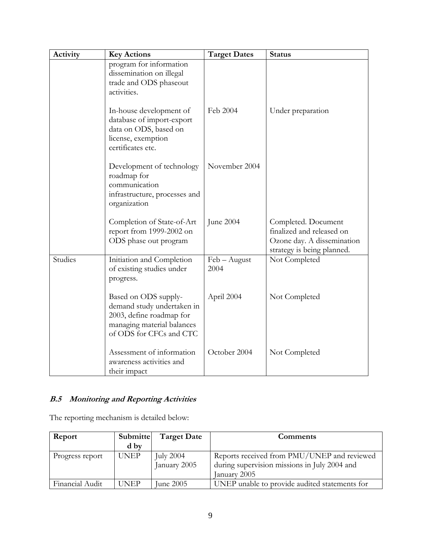| Activity | <b>Key Actions</b>                                                                                                                      | <b>Target Dates</b>  | <b>Status</b>                                                                                                |
|----------|-----------------------------------------------------------------------------------------------------------------------------------------|----------------------|--------------------------------------------------------------------------------------------------------------|
|          | program for information<br>dissemination on illegal<br>trade and ODS phaseout<br>activities.                                            |                      |                                                                                                              |
|          | In-house development of<br>database of import-export<br>data on ODS, based on<br>license, exemption<br>certificates etc.                | Feb 2004             | Under preparation                                                                                            |
|          | Development of technology<br>roadmap for<br>communication<br>infrastructure, processes and<br>organization                              | November 2004        |                                                                                                              |
|          | Completion of State-of-Art<br>report from 1999-2002 on<br>ODS phase out program                                                         | June 2004            | Completed. Document<br>finalized and released on<br>Ozone day. A dissemination<br>strategy is being planned. |
| Studies  | Initiation and Completion<br>of existing studies under<br>progress.                                                                     | Feb - August<br>2004 | Not Completed                                                                                                |
|          | Based on ODS supply-<br>demand study undertaken in<br>2003, define roadmap for<br>managing material balances<br>of ODS for CFCs and CTC | April 2004           | Not Completed                                                                                                |
|          | Assessment of information<br>awareness activities and<br>their impact                                                                   | October 2004         | Not Completed                                                                                                |

## **B.5 Monitoring and Reporting Activities**

The reporting mechanism is detailed below:

| Report          | Submitte    | <b>Target Date</b> | <b>Comments</b>                               |
|-----------------|-------------|--------------------|-----------------------------------------------|
|                 | d by        |                    |                                               |
| Progress report | <b>UNEP</b> | <b>July 2004</b>   | Reports received from PMU/UNEP and reviewed   |
|                 |             | January 2005       | during supervision missions in July 2004 and  |
|                 |             |                    | January 2005                                  |
| Financial Audit | <b>UNEP</b> | June 2005          | UNEP unable to provide audited statements for |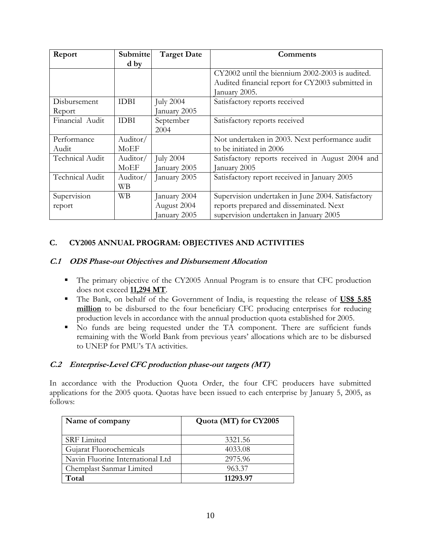| Report          | <b>Submitte</b> | <b>Target Date</b> | Comments                                          |
|-----------------|-----------------|--------------------|---------------------------------------------------|
|                 | d by            |                    |                                                   |
|                 |                 |                    | CY2002 until the biennium 2002-2003 is audited.   |
|                 |                 |                    | Audited financial report for CY2003 submitted in  |
|                 |                 |                    | January 2005.                                     |
| Disbursement    | <b>IDBI</b>     | <b>July 2004</b>   | Satisfactory reports received                     |
| Report          |                 | January 2005       |                                                   |
| Financial Audit | <b>IDBI</b>     | September          | Satisfactory reports received                     |
|                 |                 | 2004               |                                                   |
| Performance     | Auditor/        |                    | Not undertaken in 2003. Next performance audit    |
| Audit           | MoEF            |                    | to be initiated in 2006                           |
| Technical Audit | Auditor/        | <b>July 2004</b>   | Satisfactory reports received in August 2004 and  |
|                 | MoEF            | January 2005       | January 2005                                      |
| Technical Audit | Auditor/        | January 2005       | Satisfactory report received in January 2005      |
|                 | <b>WB</b>       |                    |                                                   |
| Supervision     | <b>WB</b>       | January 2004       | Supervision undertaken in June 2004. Satisfactory |
| report          |                 | August 2004        | reports prepared and disseminated. Next           |
|                 |                 | January 2005       | supervision undertaken in January 2005            |

## **C. CY2005 ANNUAL PROGRAM: OBJECTIVES AND ACTIVITIES**

#### **C.1 ODS Phase-out Objectives and Disbursement Allocation**

- The primary objective of the CY2005 Annual Program is to ensure that CFC production does not exceed **11,294 MT**.
- The Bank, on behalf of the Government of India, is requesting the release of **US\$ 5.85 million** to be disbursed to the four beneficiary CFC producing enterprises for reducing production levels in accordance with the annual production quota established for 2005.
- No funds are being requested under the TA component. There are sufficient funds remaining with the World Bank from previous years' allocations which are to be disbursed to UNEP for PMU's TA activities.

## **C.2 Enterprise-Level CFC production phase-out targets (MT)**

In accordance with the Production Quota Order, the four CFC producers have submitted applications for the 2005 quota. Quotas have been issued to each enterprise by January 5, 2005, as follows:

| Name of company                  | Quota (MT) for CY2005 |
|----------------------------------|-----------------------|
|                                  |                       |
| <b>SRF</b> Limited               | 3321.56               |
| Gujarat Fluorochemicals          | 4033.08               |
| Navin Fluorine International Ltd | 2975.96               |
| Chemplast Sanmar Limited         | 963.37                |
| Total                            | 11293.97              |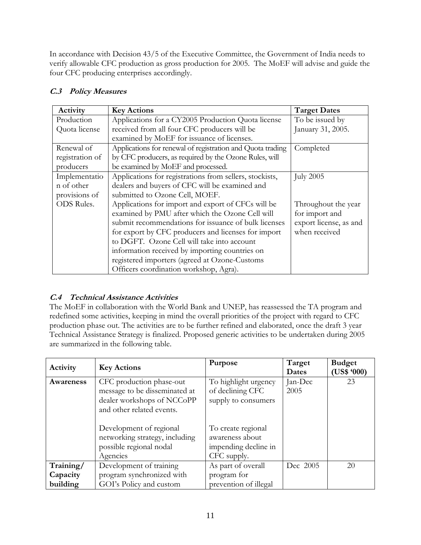In accordance with Decision 43/5 of the Executive Committee, the Government of India needs to verify allowable CFC production as gross production for 2005. The MoEF will advise and guide the four CFC producing enterprises accordingly.

| Activity          | <b>Key Actions</b>                                         | <b>Target Dates</b>    |
|-------------------|------------------------------------------------------------|------------------------|
| Production        | Applications for a CY2005 Production Quota license         | To be issued by        |
| Quota license     | received from all four CFC producers will be               | January 31, 2005.      |
|                   | examined by MoEF for issuance of licenses.                 |                        |
| Renewal of        | Applications for renewal of registration and Quota trading | Completed              |
| registration of   | by CFC producers, as required by the Ozone Rules, will     |                        |
| producers         | be examined by MoEF and processed.                         |                        |
| Implementatio     | Applications for registrations from sellers, stockists,    | <b>July 2005</b>       |
| n of other        | dealers and buyers of CFC will be examined and             |                        |
| provisions of     | submitted to Ozone Cell, MOEF.                             |                        |
| <b>ODS</b> Rules. | Applications for import and export of CFCs will be         | Throughout the year    |
|                   | examined by PMU after which the Ozone Cell will            | for import and         |
|                   | submit recommendations for issuance of bulk licenses       | export license, as and |
|                   | for export by CFC producers and licenses for import        | when received          |
|                   | to DGFT. Ozone Cell will take into account                 |                        |
|                   | information received by importing countries on             |                        |
|                   | registered importers (agreed at Ozone-Customs              |                        |
|                   | Officers coordination workshop, Agra).                     |                        |

## **C.3 Policy Measures**

## **C.4 Technical Assistance Activities**

The MoEF in collaboration with the World Bank and UNEP, has reassessed the TA program and redefined some activities, keeping in mind the overall priorities of the project with regard to CFC production phase out. The activities are to be further refined and elaborated, once the draft 3 year Technical Assistance Strategy is finalized. Proposed generic activities to be undertaken during 2005 are summarized in the following table.

| Activity  | <b>Key Actions</b>             | Purpose               | Target<br>Dates | <b>Budget</b><br>(US\$ 900) |
|-----------|--------------------------------|-----------------------|-----------------|-----------------------------|
| Awareness | CFC production phase-out       | To highlight urgency  | Jan-Dec         | 23                          |
|           | message to be disseminated at  | of declining CFC      | 2005            |                             |
|           | dealer workshops of NCCoPP     | supply to consumers   |                 |                             |
|           | and other related events.      |                       |                 |                             |
|           |                                |                       |                 |                             |
|           | Development of regional        | To create regional    |                 |                             |
|           | networking strategy, including | awareness about       |                 |                             |
|           | possible regional nodal        | impending decline in  |                 |                             |
|           | Agencies                       | CFC supply.           |                 |                             |
| Training/ | Development of training        | As part of overall    | Dec 2005        | 20                          |
| Capacity  | program synchronized with      | program for           |                 |                             |
| building  | GOI's Policy and custom        | prevention of illegal |                 |                             |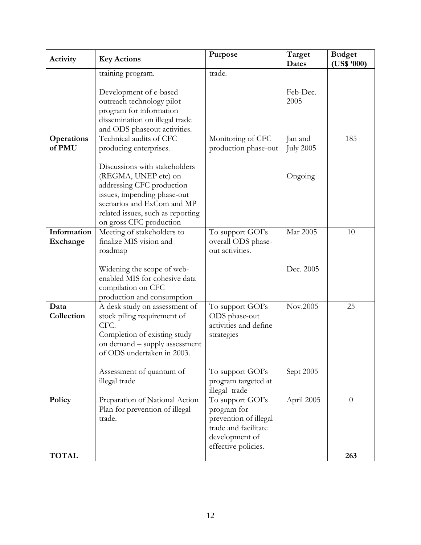| Activity                    | <b>Key Actions</b>                                                                                                                                                                                              | Purpose                                                                                                                   | Target<br><b>Dates</b>      | <b>Budget</b><br>(US\$ 900) |
|-----------------------------|-----------------------------------------------------------------------------------------------------------------------------------------------------------------------------------------------------------------|---------------------------------------------------------------------------------------------------------------------------|-----------------------------|-----------------------------|
|                             | training program.                                                                                                                                                                                               | trade.                                                                                                                    |                             |                             |
|                             | Development of e-based<br>outreach technology pilot<br>program for information<br>dissemination on illegal trade<br>and ODS phaseout activities.                                                                |                                                                                                                           | Feb-Dec.<br>2005            |                             |
| <b>Operations</b><br>of PMU | Technical audits of CFC<br>producing enterprises.                                                                                                                                                               | Monitoring of CFC<br>production phase-out                                                                                 | Jan and<br><b>July 2005</b> | 185                         |
|                             | Discussions with stakeholders<br>(REGMA, UNEP etc) on<br>addressing CFC production<br>issues, impending phase-out<br>scenarios and ExCom and MP<br>related issues, such as reporting<br>on gross CFC production |                                                                                                                           | Ongoing                     |                             |
| Information<br>Exchange     | Meeting of stakeholders to<br>finalize MIS vision and<br>roadmap                                                                                                                                                | To support GOI's<br>overall ODS phase-<br>out activities.                                                                 | Mar 2005                    | 10                          |
|                             | Widening the scope of web-<br>enabled MIS for cohesive data<br>compilation on CFC<br>production and consumption                                                                                                 |                                                                                                                           | Dec. 2005                   |                             |
| Data<br>Collection          | A desk study on assessment of<br>stock piling requirement of<br>CFC.<br>Completion of existing study<br>on demand – supply assessment<br>of ODS undertaken in 2003.                                             | To support GOI's<br>ODS phase-out<br>activities and define<br>strategies                                                  | Nov.2005                    | 25                          |
|                             | Assessment of quantum of<br>illegal trade                                                                                                                                                                       | To support GOI's<br>program targeted at<br>illegal trade                                                                  | Sept 2005                   |                             |
| Policy                      | Preparation of National Action<br>Plan for prevention of illegal<br>trade.                                                                                                                                      | To support GOI's<br>program for<br>prevention of illegal<br>trade and facilitate<br>development of<br>effective policies. | April 2005                  | $\overline{0}$              |
| <b>TOTAL</b>                |                                                                                                                                                                                                                 |                                                                                                                           |                             | 263                         |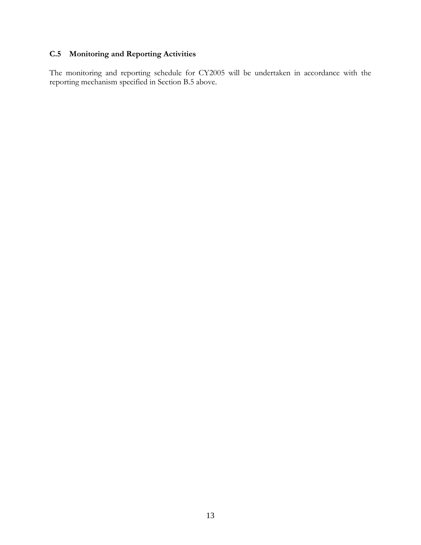## **C.5 Monitoring and Reporting Activities**

The monitoring and reporting schedule for CY2005 will be undertaken in accordance with the reporting mechanism specified in Section B.5 above.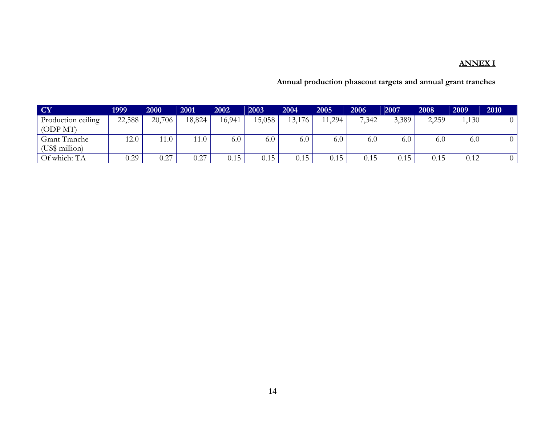### **ANNEX I**

## **Annual production phaseout targets and annual grant tranches**

| <b>CY</b>          | 1999   | 2000   | 2001   | 2002   | 2003   | 2004   | 2005  | 2006  | 2007  | 2008  | 2009  | 2010 |
|--------------------|--------|--------|--------|--------|--------|--------|-------|-------|-------|-------|-------|------|
| Production ceiling | 22,588 | 20,706 | 18,824 | 16,941 | 15,058 | 13,176 | 1,294 | 7,342 | 3,389 | 2,259 | 1,130 |      |
| (ODP MT)           |        |        |        |        |        |        |       |       |       |       |       |      |
| Grant Tranche      | 12.0   | 11.0   | 11.0   | 6.0    | 6.0    | 6.0    | 6.0   | 6.0   | 6.0   | 6.0   | 6.0   |      |
| (US\$ million)     |        |        |        |        |        |        |       |       |       |       |       |      |
| Of which: TA       | 0.29   | 0.27   | 0.27   | 0.15   | 0.15   | 0.15   | 0.15  | 0.15  | 0.15  | 0.15  | 0.12  |      |